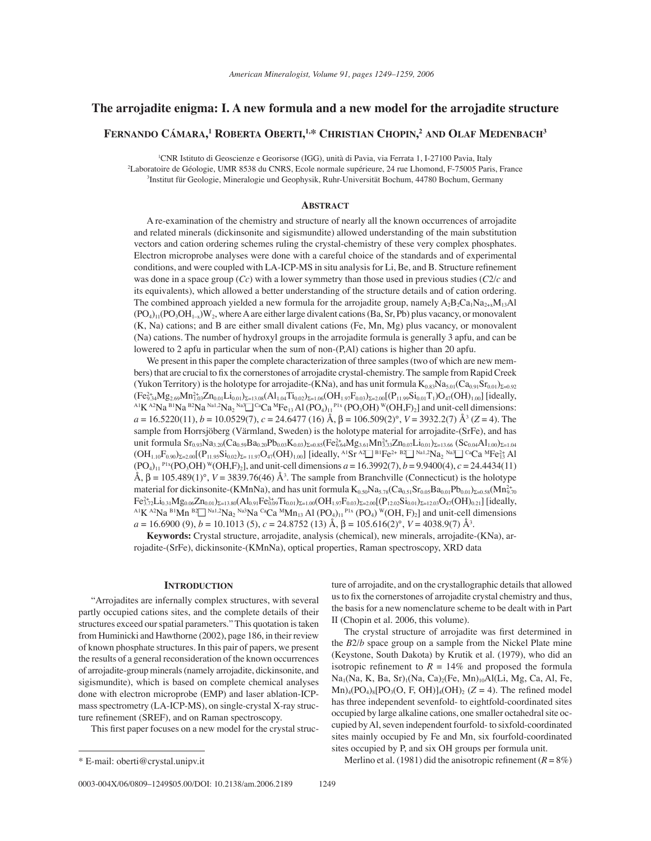# **The arrojadite enigma: I. A new formula and a new model for the arrojadite structure**

# **FERNANDO C£MARA, 1 ROBERTA OBERTI, 1,\* CHRISTIAN CHOPIN, <sup>2</sup> AND OLAF MEDENBACH3**

<sup>1</sup>CNR Istituto di Geoscienze e Georisorse (IGG), unità di Pavia, via Ferrata 1, I-27100 Pavia, Italy <sup>2</sup>Laboratoire de Géologie, UMR 8538 du CNRS, Ecole normale supérieure, 24 rue Lhomond, F-75005 Paris, France <sup>3</sup>Institut für Geologie, Mineralogie und Geophysik, Ruhr-Universität Bochum, 44780 Bochum, Germany

#### **ABSTRACT**

A re-examination of the chemistry and structure of nearly all the known occurrences of arrojadite and related minerals (dickinsonite and sigismundite) allowed understanding of the main substitution vectors and cation ordering schemes ruling the crystal-chemistry of these very complex phosphates. Electron microprobe analyses were done with a careful choice of the standards and of experimental conditions, and were coupled with LA-ICP-MS in situ analysis for Li, Be, and B. Structure refinement was done in a space group (*Cc*) with a lower symmetry than those used in previous studies (*C*2/*c* and its equivalents), which allowed a better understanding of the structure details and of cation ordering. The combined approach yielded a new formula for the arrojadite group, namely  $A_2B_2C_{a_1}Na_{2+x}M_{13}Al$  $(PO<sub>4</sub>)<sub>11</sub>(PO<sub>3</sub>OH<sub>1-x</sub>)W<sub>2</sub>$ , where A are either large divalent cations (Ba, Sr, Pb) plus vacancy, or monovalent (K, Na) cations; and B are either small divalent cations (Fe, Mn, Mg) plus vacancy, or monovalent (Na) cations. The number of hydroxyl groups in the arrojadite formula is generally 3 apfu, and can be lowered to 2 apfu in particular when the sum of non-(P,Al) cations is higher than 20 apfu.

We present in this paper the complete characterization of three samples (two of which are new members) that are crucial to fix the cornerstones of arrojadite crystal-chemistry. The sample from Rapid Creek (Yukon Territory) is the holotype for arrojadite-(KNa), and has unit formula  $K_{0.83}N_{45.01}(Ca_{0.91}Sr_{0.01})_{\Sigma=0.92}$  $(\rm{Fe^{2+}_{9.34}Mg_{2.69}Mn_{1.0}^{2+}}$  $(Fe^{2.3}_{9.34}Mg_{2.69}Mn_{1.03}^{2.6}Zn_{0.01}Li_{0.01}J_{2=13.08}(Al_{1.04}Ti_{0.02})_{\Sigma=1.06}(OH_{1.97}F_{0.03})_{\Sigma=2.00}[(P_{11.99}Si_{0.01}T_1)O_{47}(OH_{1.00}][ideal]y,$ <br>
Al K <sup>A2</sup>Na <sup>B1</sup>Na <sup>B2</sup>Na <sup>Na1,2</sup>Na<sub>2</sub> <sup>Na3</sup> C<sup>a</sup>Ca <sup>M</sup>Fe<sub>13</sub> Al (PO<sub>4</sub>)<sub>11</sub> *a* = 16.5220(11), *b* = 10.0529(7), *c* = 24.6477 (16) Å, β = 106.509(2)°, *V* = 3932.2(7) Å3 (*Z* = 4). The sample from Horrsjöberg (Värmland, Sweden) is the holotype material for arrojadite-(SrFe), and has unit formula  $\rm Sr_{0.93}Na_{3.20}(Ca_{0.59}Ba_{0.20}Pb_{0.03}K_{0.03})_{\Sigma=0.85}(Fe_{6.64}^2Mg_{3.61}Mn_{3.33}^2Zn_{0.07}Li_{0.01})_{\Sigma=13.66}$   $(\rm Sc_{0.04}Al_{1.00})_{\Sigma=1.04}$  $\rm (OH_{1.10}F_{0.90})_{\Sigma=2.00}$   $\rm (P_{11.95}Si_{0.02})_{\Sigma=11.97}O_{47}(OH)_{1.00}$  [ideally, <sup>AI</sup>Sr <sup>A2</sup> $\Box$  <sup>B1</sup>Fe<sup>2+ B2</sup> $\Box$  <sup>Na1,2</sup>Na<sub>2</sub> <sup>Na3</sup> $\Box$  <sup>Ca</sup>Ca <sup>M</sup>Fe<sup>2+</sup><sub>3</sub> Al  $(PO<sub>4</sub>)<sub>11</sub>$  P<sup>1x</sup>(PO<sub>3</sub>OH)<sup>W</sup>(OH,F<sub>)2</sub>], and unit-cell dimensions *a* = 16.3992(7), *b* = 9.9400(4), *c* = 24.4434(11) Å,  $β = 105.489(1)°$ ,  $V = 3839.76(46)$  Å<sup>3</sup>. The sample from Branchville (Connecticut) is the holotype material for dickinsonite-(KMnNa), and has unit formula  $K_{0.50}Na_{5.78}(Ca_{0.51}Sr_{0.05}Ba_{0.01}Pb_{0.01})_{\Sigma=0.58}(Mn_{2.70}^{2+})$  $\rm Fe^{2+}_{3.72}Li_{0.31}Mg_{0.06}Zn_{0.01})_{\Sigma=13.80}(Al_{0.91}Fe^{3+}_{0.01})$ <sup>A1</sup>K<sup>A2</sup>Na<sup>B1</sup>Mn <sup>B2</sup> Na<sup>1,2</sup>Na<sub>2</sub><sup>Na3</sup>Na<sup>ca</sup>Ca <sup>M</sup>Mn<sub>13</sub> Al (PO<sub>4</sub>)<sub>11</sub><sup>P1x</sup> (PO<sub>4</sub>)<sup>W</sup>(OH, F)<sub>2</sub>] and unit-cell dimensions *a* = 16.6900 (9), *b* = 10.1013 (5), *c* = 24.8752 (13) Å, β = 105.616(2)°, *V* = 4038.9(7) Å3 .

**Keywords:** Crystal structure, arrojadite, analysis (chemical), new minerals, arrojadite-(KNa), arrojadite-(SrFe), dickinsonite-(KMnNa), optical properties, Raman spectroscopy, XRD data

#### **INTRODUCTION**

ìArrojadites are infernally complex structures, with several partly occupied cations sites, and the complete details of their structures exceed our spatial parameters." This quotation is taken from Huminicki and Hawthorne (2002), page 186, in their review of known phosphate structures. In this pair of papers, we present the results of a general reconsideration of the known occurrences of arrojadite-group minerals (namely arrojadite, dickinsonite, and sigismundite), which is based on complete chemical analyses done with electron microprobe (EMP) and laser ablation-ICPmass spectrometry (LA-ICP-MS), on single-crystal X-ray structure refinement (SREF), and on Raman spectroscopy.

This first paper focuses on a new model for the crystal struc-

ture of arrojadite, and on the crystallographic details that allowed us to fix the cornerstones of arrojadite crystal chemistry and thus, the basis for a new nomenclature scheme to be dealt with in Part II (Chopin et al. 2006, this volume).

The crystal structure of arrojadite was first determined in the *B*2/*b* space group on a sample from the Nickel Plate mine (Keystone, South Dakota) by Krutik et al. (1979), who did an isotropic refinement to  $R = 14\%$  and proposed the formula  $Na<sub>1</sub>(Na, K, Ba, Sr)<sub>1</sub>(Na, Ca)<sub>2</sub>(Fe, Mn)<sub>10</sub>Al(Li, Mg, Ca, Al, Fe,$  $Mn)_{4}(PO_{4})_{8}[PO_{3}(O, F, OH)]_{4}(OH)_{2}(Z = 4)$ . The refined model has three independent sevenfold- to eightfold-coordinated sites occupied by large alkaline cations, one smaller octahedral site occupied by Al, seven independent fourfold- to sixfold-coordinated sites mainly occupied by Fe and Mn, six fourfold-coordinated sites occupied by P, and six OH groups per formula unit.

\* E-mail: oberti@crystal.unipv.it Merlino et al. (1981) did the anisotropic refi nement (*R* = 8%)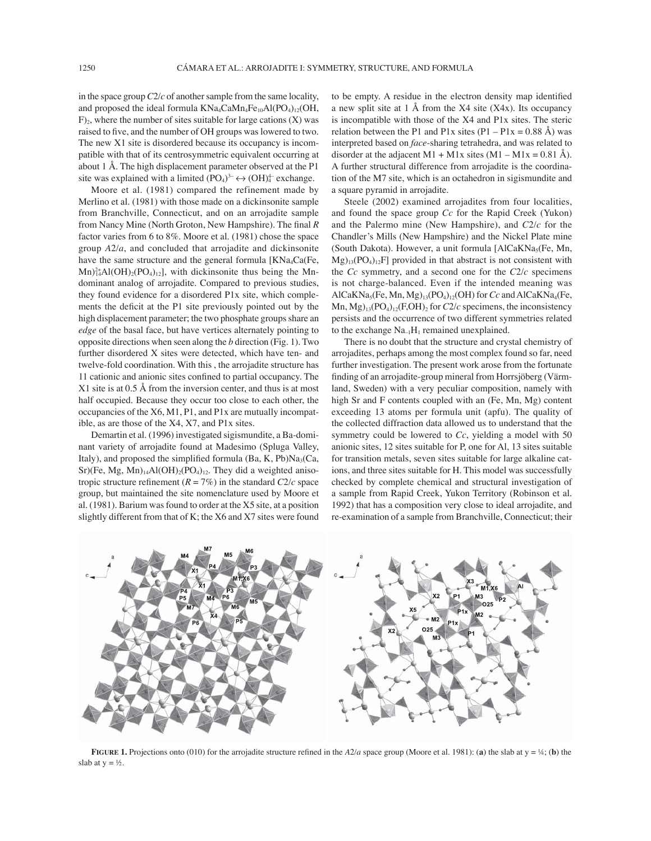in the space group *C*2/*c* of another sample from the same locality, and proposed the ideal formula  $KNa_4CaMn_4Fe_{10}Al(PO_4)_{12}(OH,$  $F$ <sub>2</sub>, where the number of sites suitable for large cations  $(X)$  was raised to five, and the number of OH groups was lowered to two. The new X1 site is disordered because its occupancy is incompatible with that of its centrosymmetric equivalent occurring at about 1 Å. The high displacement parameter observed at the P1 site was explained with a limited  $(PO<sub>4</sub>)<sup>3</sup> \leftrightarrow (OH)<sup>4</sup><sub>4</sub>$  exchange.

Moore et al. (1981) compared the refinement made by Merlino et al. (1981) with those made on a dickinsonite sample from Branchville, Connecticut, and on an arrojadite sample from Nancy Mine (North Groton, New Hampshire). The final  $R$ factor varies from 6 to 8%. Moore et al. (1981) chose the space group *A*2/*a*, and concluded that arrojadite and dickinsonite have the same structure and the general formula  $[KNa_4Ca(Fe,$  $Mn)_{14}^{2+}Al(OH)_{2}(PO_{4})_{12}$ , with dickinsonite thus being the Mndominant analog of arrojadite. Compared to previous studies, they found evidence for a disordered P1x site, which complements the deficit at the P1 site previously pointed out by the high displacement parameter; the two phosphate groups share an *edge* of the basal face, but have vertices alternately pointing to opposite directions when seen along the *b* direction (Fig. 1). Two further disordered X sites were detected, which have ten- and twelve-fold coordination. With this , the arrojadite structure has 11 cationic and anionic sites confined to partial occupancy. The X1 site is at 0.5 Å from the inversion center, and thus is at most half occupied. Because they occur too close to each other, the occupancies of the X6, M1, P1, and P1x are mutually incompatible, as are those of the X4, X7, and P1x sites.

Demartin et al. (1996) investigated sigismundite, a Ba-dominant variety of arrojadite found at Madesimo (Spluga Valley, Italy), and proposed the simplified formula (Ba, K, Pb) $Na<sub>3</sub>(Ca,$  $Sr)(Fe, Mg, Mn)_{14}Al(OH)_{2}(PO_{4})_{12}$ . They did a weighted anisotropic structure refinement  $(R = 7\%)$  in the standard  $C2/c$  space group, but maintained the site nomenclature used by Moore et al. (1981). Barium was found to order at the X5 site, at a position slightly different from that of K; the X6 and X7 sites were found to be empty. A residue in the electron density map identified a new split site at 1 Å from the X4 site (X4x). Its occupancy is incompatible with those of the X4 and P1x sites. The steric relation between the P1 and P1x sites  $(P1 - P1x = 0.88 \text{ Å})$  was interpreted based on *face*-sharing tetrahedra, and was related to disorder at the adjacent M1 + M1x sites  $(M1 - M1x = 0.81 \text{ Å})$ . A further structural difference from arrojadite is the coordination of the M7 site, which is an octahedron in sigismundite and a square pyramid in arrojadite.

Steele (2002) examined arrojadites from four localities, and found the space group *Cc* for the Rapid Creek (Yukon) and the Palermo mine (New Hampshire), and *C*2/*c* for the Chandler's Mills (New Hampshire) and the Nickel Plate mine (South Dakota). However, a unit formula  $[AICaKNa<sub>5</sub>(Fe, Mn,$  $Mg)_{13}(PO_4)_{12}F$ ] provided in that abstract is not consistent with the *Cc* symmetry, and a second one for the *C*2/*c* specimens is not charge-balanced. Even if the intended meaning was AlCaKNa<sub>5</sub>(Fe, Mn, Mg)<sub>13</sub>(PO<sub>4</sub>)<sub>12</sub>(OH) for *Cc* and AlCaKNa<sub>4</sub>(Fe, Mn,  $Mg$ <sub>13</sub>(PO<sub>4</sub>)<sub>12</sub>(F,OH)<sub>2</sub> for *C*2/*c* specimens, the inconsistency persists and the occurrence of two different symmetries related to the exchange  $Na<sub>-1</sub>H<sub>1</sub>$  remained unexplained.

There is no doubt that the structure and crystal chemistry of arrojadites, perhaps among the most complex found so far, need further investigation. The present work arose from the fortunate finding of an arrojadite-group mineral from Horrsjöberg (Värmland, Sweden) with a very peculiar composition, namely with high Sr and F contents coupled with an (Fe, Mn, Mg) content exceeding 13 atoms per formula unit (apfu). The quality of the collected diffraction data allowed us to understand that the symmetry could be lowered to *Cc*, yielding a model with 50 anionic sites, 12 sites suitable for P, one for Al, 13 sites suitable for transition metals, seven sites suitable for large alkaline cations, and three sites suitable for H. This model was successfully checked by complete chemical and structural investigation of a sample from Rapid Creek, Yukon Territory (Robinson et al. 1992) that has a composition very close to ideal arrojadite, and re-examination of a sample from Branchville, Connecticut; their



**FIGURE 1.** Projections onto (010) for the arrojadite structure refined in the *A*2/*a* space group (Moore et al. 1981): (**a**) the slab at  $y = \frac{1}{4}$ ; (**b**) the slab at  $y = \frac{1}{2}$ .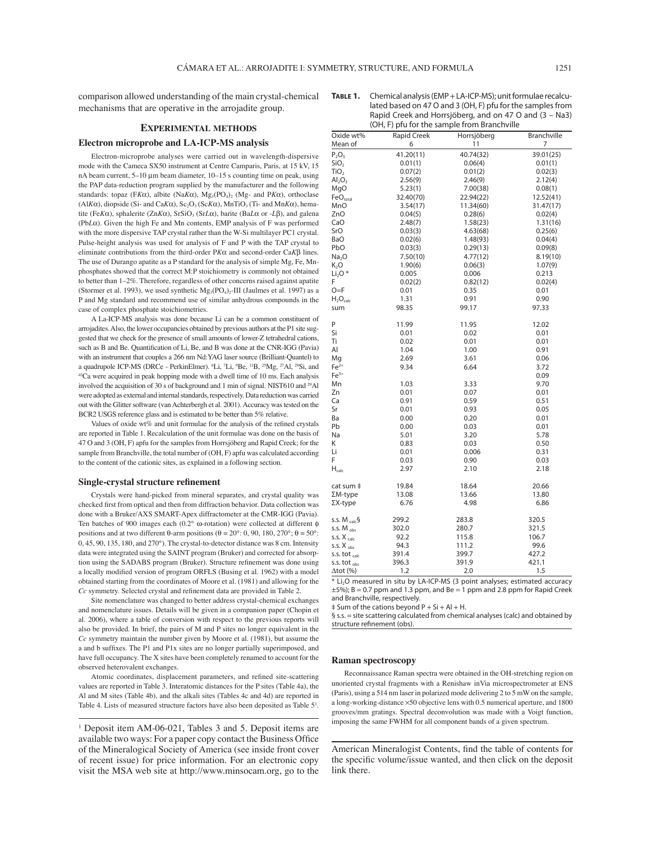comparison allowed understanding of the main crystal-chemical mechanisms that are operative in the arrojadite group.

## **EXPERIMENTAL METHODS**

## **Electron microprobe and LA-ICP-MS analysis**

Electron-microprobe analyses were carried out in wavelength-dispersive mode with the Cameca SX50 instrument at Centre Camparis, Paris, at 15 kV, 15 nA beam current, 5-10 μm beam diameter, 10-15 s counting time on peak, using the PAP data-reduction program supplied by the manufacturer and the following standards: topaz (FKα), albite (NaKα), Mg<sub>3</sub>(PO<sub>4</sub>)<sub>2</sub> (Mg- and PKα), orthoclase (Al*Kα*), diopside (Si- and Ca*Kα*), Sc<sub>2</sub>O<sub>3</sub> (Sc*Kα*), MnTiO<sub>3</sub> (Ti- and Mn*Kα*), hematite (Fe $K\alpha$ ), sphalerite (Zn $K\alpha$ ), SrSiO<sub>3</sub> (SrL $\alpha$ ), barite (BaL $\alpha$  or -L $\beta$ ), and galena (Pb*L*α). Given the high Fe and Mn contents, EMP analysis of F was performed with the more dispersive TAP crystal rather than the W-Si multilayer PC1 crystal. Pulse-height analysis was used for analysis of F and P with the TAP crystal to eliminate contributions from the third-order P*K*α and second-order Ca*K*β lines. The use of Durango apatite as a P standard for the analysis of simple Mg, Fe, Mnphosphates showed that the correct M:P stoichiometry is commonly not obtained to better than  $1-2\%$ . Therefore, regardless of other concerns raised against apatite (Stormer et al. 1993), we used synthetic  $Mg_3(PO_4)_2$ -III (Jaulmes et al. 1997) as a P and Mg standard and recommend use of similar anhydrous compounds in the case of complex phosphate stoichiometries.

A La-ICP-MS analysis was done because Li can be a common constituent of arrojadites. Also, the lower occupancies obtained by previous authors at the P1 site suggested that we check for the presence of small amounts of lower-Z tetrahedral cations, such as B and Be. Quantification of Li, Be, and B was done at the CNR-IGG (Pavia) with an instrument that couples a 266 nm Nd:YAG laser source (Brilliant-Quantel) to a quadrupole ICP-MS (DRCe - PerkinElmer). <sup>6</sup>Li, <sup>7</sup>Li, <sup>9</sup> <sup>43</sup>Ca were acquired in peak hopping mode with a dwell time of 10 ms. Each analysis involved the acquisition of 30 s of background and 1 min of signal. NIST610 and 29Al were adopted as external and internal standards, respectively. Data reduction was carried out with the Glitter software (van Achterbergh et al. 2001). Accuracy was tested on the BCR2 USGS reference glass and is estimated to be better than 5% relative.

Values of oxide wt% and unit formulae for the analysis of the refined crystals are reported in Table 1. Recalculation of the unit formulae was done on the basis of 47 O and 3 (OH, F) apfu for the samples from Horrsjöberg and Rapid Creek; for the sample from Branchville, the total number of (OH, F) apfu was calculated according to the content of the cationic sites, as explained in a following section.

#### **Single-crystal structure refinement**

Crystals were hand-picked from mineral separates, and crystal quality was checked first from optical and then from diffraction behavior. Data collection was done with a Bruker/AXS SMART-Apex diffractometer at the CMR-IGG (Pavia). Ten batches of 900 images each (0.2° ω-rotation) were collected at different φ positions and at two different θ-arm positions (θ = 20°: 0, 90, 180, 270°; θ = 50°: 0, 45, 90, 135, 180, and 270°). The crystal-to-detector distance was 8 cm. Intensity data were integrated using the SAINT program (Bruker) and corrected for absorption using the SADABS program (Bruker). Structure refinement was done using a locally modified version of program ORFLS (Busing et al. 1962) with a model obtained starting from the coordinates of Moore et al. (1981) and allowing for the *Cc* symmetry. Selected crystal and refinement data are provided in Table 2.

Site nomenclature was changed to better address crystal-chemical exchanges and nomenclature issues. Details will be given in a companion paper (Chopin et al. 2006), where a table of conversion with respect to the previous reports will also be provided. In brief, the pairs of M and P sites no longer equivalent in the *Cc* symmetry maintain the number given by Moore et al. (1981), but assume the a and b suffixes. The P1 and P1x sites are no longer partially superimposed, and have full occupancy. The X sites have been completely renamed to account for the observed heterovalent exchanges.

Atomic coordinates, displacement parameters, and refined site-scattering values are reported in Table 3. Interatomic distances for the P sites (Table 4a), the Al and M sites (Table 4b), and the alkali sites (Tables 4c and 4d) are reported in Table 4. Lists of measured structure factors have also been deposited as Table 5<sup>1</sup>.

<sup>1</sup> Deposit item AM-06-021, Tables 3 and 5. Deposit items are available two ways: For a paper copy contact the Business Office of the Mineralogical Society of America (see inside front cover of recent issue) for price information. For an electronic copy visit the MSA web site at http://www.minsocam.org, go to the

| Oxide wt%              | <b>Rapid Creek</b> | Horrsjöberg | <b>Branchville</b> |
|------------------------|--------------------|-------------|--------------------|
| Mean of                | 6                  | 11          | 7                  |
| $P_2O_5$               | 41.20(11)          | 40.74(32)   | 39.01(25)          |
| SiO <sub>2</sub>       | 0.01(1)            | 0.06(4)     | 0.01(1)            |
| TiO <sub>2</sub>       | 0.07(2)            | 0.01(2)     | 0.02(3)            |
| $Al_2O_3$              | 2.56(9)            | 2.46(9)     | 2.12(4)            |
| MgO                    | 5.23(1)            | 7.00(38)    | 0.08(1)            |
| FeO <sub>total</sub>   | 32.40(70)          | 22.94(22)   | 12.52(41)          |
| MnO                    | 3.54(17)           | 11.34(60)   | 31.47(17)          |
| ZnO                    | 0.04(5)            | 0.28(6)     | 0.02(4)            |
| CaO                    | 2.48(7)            | 1.58(23)    | 1.31(16)           |
| SrO                    | 0.03(3)            | 4.63(68)    | 0.25(6)            |
| <b>BaO</b>             | 0.02(6)            | 1.48(93)    | 0.04(4)            |
| PbO                    | 0.03(3)            | 0.29(13)    | 0.09(8)            |
| Na <sub>2</sub> O      | 7.50(10)           | 4.77(12)    | 8.19(10)           |
| $K_2O$                 | 1.90(6)            | 0.06(3)     | 1.07(9)            |
| $Li2O*$                | 0.005              | 0.006       | 0.213              |
| F                      | 0.02(2)            | 0.82(12)    | 0.02(4)            |
| $O = F$                | 0.01               | 0.35        | 0.01               |
| $H_2O_{calc}$          | 1.31               | 0.91        | 0.90               |
| sum                    | 98.35              | 99.17       | 97.33              |
| P                      | 11.99              | 11.95       | 12.02              |
| Si                     | 0.01               | 0.02        | 0.01               |
| Ti                     | 0.02               | 0.01        | 0.01               |
| AI                     | 1.04               | 1.00        | 0.91               |
| Mq                     | 2.69               | 3.61        | 0.06               |
| $Fe2+$                 | 9.34               | 6.64        | 3.72               |
| $Fe3+$                 |                    |             | 0.09               |
| Mn                     | 1.03               | 3.33        | 9.70               |
| Zn                     | 0.01               | 0.07        | 0.01               |
| Ca                     | 0.91               | 0.59        | 0.51               |
| Sr                     | 0.01               | 0.93        | 0.05               |
| Ba                     | 0.00               | 0.20        | 0.01               |
| Pb                     | 0.00               | 0.03        | 0.01               |
| Na                     | 5.01               | 3.20        | 5.78               |
| Κ                      | 0.83               | 0.03        | 0.50               |
| Li                     | 0.01               | 0.006       | 0.31               |
| F                      | 0.03               | 0.90        | 0.03               |
| $H_{calc}$             | 2.97               | 2.10        | 2.18               |
| cat sum ‡              | 19.84              | 18.64       | 20.66              |
| $\Sigma M$ -type       | 13.08              | 13.66       | 13.80              |
| $\Sigma$ X-type        | 6.76               | 4.98        | 6.86               |
| s.s. $M_{calc}$ §      | 299.2              | 283.8       | 320.5              |
| S.S. M <sub>obs</sub>  | 302.0              | 280.7       | 321.5              |
| S.S. X <sub>calc</sub> | 92.2               | 115.8       | 106.7              |
| S.S. X <sub>obs</sub>  | 94.3               | 111.2       | 99.6               |
| s.s. tot calc          | 391.4              | 399.7       | 427.2              |
| S.S. tot obs           | 396.3              | 391.9       | 421.1              |

 $*$  Li<sub>2</sub>O measured in situ by LA-ICP-MS (3 point analyses: estimated accuracy  $\pm$ 5%); B = 0.7 ppm and 1.3 ppm, and Be = 1 ppm and 2.8 ppm for Rapid Creek and Branchville, respectively.

 $\Delta$ tot (%) 1.2 2.0 1.5

‡ Sum of the cations beyond P + Si + Al + H.

§ s.s. = site scattering calculated from chemical analyses (calc) and obtained by structure refinement (obs).

### **Raman spectroscopy**

Reconnaissance Raman spectra were obtained in the OH-stretching region on unoriented crystal fragments with a Renishaw inVia microspectrometer at ENS (Paris), using a 514 nm laser in polarized mode delivering 2 to 5 mW on the sample, a long-working-distance ×50 objective lens with 0.5 numerical aperture, and 1800 grooves/mm gratings. Spectral deconvolution was made with a Voigt function, imposing the same FWHM for all component bands of a given spectrum.

American Mineralogist Contents, find the table of contents for the specific volume/issue wanted, and then click on the deposit link there.

**TABLE 1.** Chemical analysis (EMP + LA-ICP-MS); unit formulae recalculated based on 47 O and 3 (OH, F) pfu for the samples from Rapid Creek and Horrsjöberg, and on 47 O and (3 – Na3) (OH, F) pfu for the sample from Branchville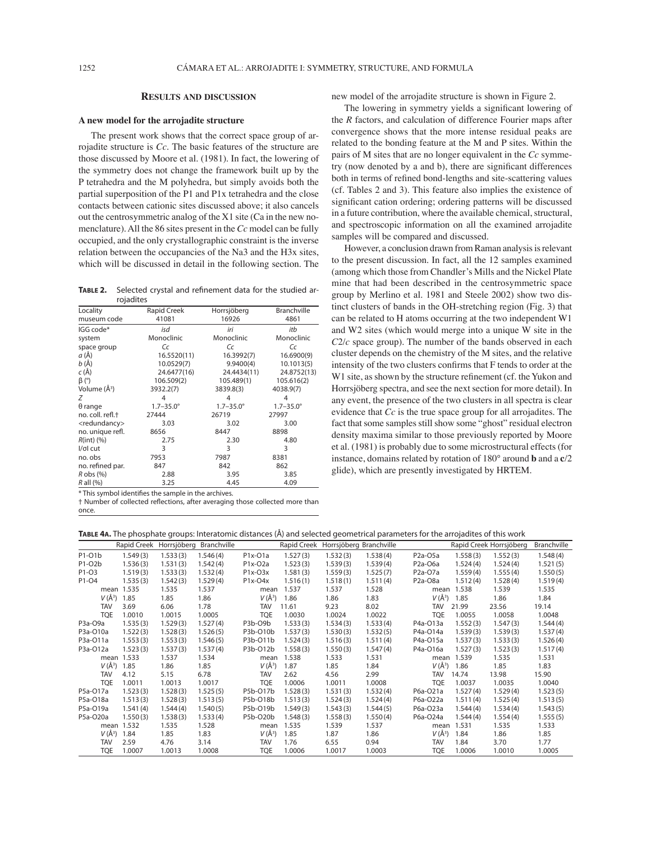## **RESULTS AND DISCUSSION**

### **A new model for the arrojadite structure**

The present work shows that the correct space group of arrojadite structure is *Cc.* The basic features of the structure are those discussed by Moore et al. (1981). In fact, the lowering of the symmetry does not change the framework built up by the P tetrahedra and the M polyhedra, but simply avoids both the partial superposition of the P1 and P1x tetrahedra and the close contacts between cationic sites discussed above; it also cancels out the centrosymmetric analog of the X1 site (Ca in the new nomenclature). All the 86 sites present in the *Cc* model can be fully occupied, and the only crystallographic constraint is the inverse relation between the occupancies of the Na3 and the H3x sites, which will be discussed in detail in the following section. The

TABLE 2. Selected crystal and refinement data for the studied arrojadites

| <b>TUJUULLES</b>             |                      |                      |                      |
|------------------------------|----------------------|----------------------|----------------------|
| Locality                     | Rapid Creek          | Horrsjöberg          | <b>Branchville</b>   |
| museum code                  | 41081                | 16926                | 4861                 |
| IGG code*                    | isd                  | iri                  | itb                  |
| system                       | Monoclinic           | Monoclinic           | Monoclinic           |
| space group                  | Сc                   | Сc                   | Сc                   |
| a (Å)                        | 16.5520(11)          | 16.3992(7)           | 16.6900(9)           |
| $b(\AA)$                     | 10.0529(7)           | 9.9400(4)            | 10.1013(5)           |
| $c(\AA)$                     | 24.6477(16)          | 24.4434(11)          | 24.8752(13)          |
| $\beta$ (°)                  | 106.509(2)           | 105.489(1)           | 105.616(2)           |
| Volume (Å <sup>3</sup> )     | 3932.2(7)            | 3839.8(3)            | 4038.9(7)            |
| Ζ                            | 4                    | 4                    | 4                    |
| $\theta$ range               | $1.7 - 35.0^{\circ}$ | $1.7 - 35.0^{\circ}$ | $1.7 - 35.0^{\circ}$ |
| no. coll. refl. <sup>+</sup> | 27444                | 26719                | 27997                |
| <redundancy></redundancy>    | 3.03                 | 3.02                 | 3.00                 |
| no. unique refl.             | 8656                 | 8447                 | 8898                 |
| $R(int)$ (%)                 | 2.75                 | 2.30                 | 4.80                 |
| l/σl cut                     | 3                    | 3                    | 3                    |
| no. obs                      | 7953                 | 7987                 | 8381                 |
| no. refined par.             | 847                  | 842                  | 862                  |
| $R$ obs $(\%)$               | 2.88                 | 3.95                 | 3.85                 |
| $R$ all $(%)$                | 3.25                 | 4.45                 | 4.09                 |

\* This symbol identifies the sample in the archives.

† Number of collected reflections, after averaging those collected more than once.

new model of the arrojadite structure is shown in Figure 2.

The lowering in symmetry yields a significant lowering of the *R* factors, and calculation of difference Fourier maps after convergence shows that the more intense residual peaks are related to the bonding feature at the M and P sites. Within the pairs of M sites that are no longer equivalent in the *Cc* symmetry (now denoted by a and b), there are significant differences both in terms of refined bond-lengths and site-scattering values (cf. Tables 2 and 3). This feature also implies the existence of significant cation ordering; ordering patterns will be discussed in a future contribution, where the available chemical, structural, and spectroscopic information on all the examined arrojadite samples will be compared and discussed.

However, a conclusion drawn from Raman analysis is relevant to the present discussion. In fact, all the 12 samples examined (among which those from Chandler's Mills and the Nickel Plate mine that had been described in the centrosymmetric space group by Merlino et al. 1981 and Steele 2002) show two distinct clusters of bands in the OH-stretching region (Fig. 3) that can be related to H atoms occurring at the two independent W1 and W2 sites (which would merge into a unique W site in the  $C2/c$  space group). The number of the bands observed in each cluster depends on the chemistry of the M sites, and the relative intensity of the two clusters confirms that F tends to order at the W1 site, as shown by the structure refinement (cf. the Yukon and Horrsjöberg spectra, and see the next section for more detail). In any event, the presence of the two clusters in all spectra is clear evidence that *Cc* is the true space group for all arrojadites. The fact that some samples still show some "ghost" residual electron density maxima similar to those previously reported by Moore et al. (1981) is probably due to some microstructural effects (for instance, domains related by rotation of 180° around **b** and a **c**/2 glide), which are presently investigated by HRTEM.

| <b>TABLE 4A.</b> The phosphate groups: Interatomic distances (A) and selected geometrical parameters for the arroiadites of this work |  |  |  |
|---------------------------------------------------------------------------------------------------------------------------------------|--|--|--|
|---------------------------------------------------------------------------------------------------------------------------------------|--|--|--|

| $P^{11}$<br>$9$ connection parameters for the ar |                                                                                                       |          |          |            |          |          |                                               |                                   |            |             |          |
|--------------------------------------------------|-------------------------------------------------------------------------------------------------------|----------|----------|------------|----------|----------|-----------------------------------------------|-----------------------------------|------------|-------------|----------|
|                                                  | Rapid Creek Horrsjöberg Branchville<br>Rapid Creek Horrsjöberg Branchville<br>Rapid Creek Horrsjöberg |          |          |            |          |          |                                               |                                   |            | Branchville |          |
| P1-01b                                           | 1.549(3)                                                                                              | 1.533(3) | 1.546(4) | P1x-O1a    | 1.527(3) | 1.532(3) | 1.538(4)                                      | P <sub>2</sub> a-O <sub>5</sub> a | 1.558(3)   | 1.552(3)    | 1.548(4) |
| P1-O2b                                           | 1.536(3)                                                                                              | 1.531(3) | 1.542(4) | P1x-O2a    | 1.523(3) | 1.539(3) | 1.539(4)                                      | P <sub>2</sub> a-O <sub>6</sub> a | 1.524(4)   | 1.524(4)    | 1.521(5) |
| P <sub>1</sub> -03                               | 1.519(3)                                                                                              | 1.533(3) | 1.532(4) | P1x-O3x    | 1.581(3) | 1.559(3) | 1.525(7)                                      | P <sub>2</sub> a-O <sub>7</sub> a | 1.559(4)   | 1.555(4)    | 1.550(5) |
| P1-04                                            | 1.535(3)                                                                                              | 1.542(3) | 1.529(4) | P1x-O4x    | 1.516(1) | 1.518(1) | 1.511(4)<br>P <sub>2</sub> a-O <sub>8</sub> a |                                   | 1.512(4)   | 1.528(4)    | 1.519(4) |
|                                                  | mean 1.535                                                                                            | 1.535    | 1.537    | mean       | 1.537    | 1.537    | 1.528                                         |                                   | mean 1.538 | 1.539       | 1.535    |
| $V(\AA^3)$                                       | 1.85                                                                                                  | 1.85     | 1.86     | $V(\AA^3)$ | 1.86     | 1.86     | 1.83                                          | $V(\AA^3)$                        | 1.85       | 1.86        | 1.84     |
| <b>TAV</b>                                       | 3.69                                                                                                  | 6.06     | 1.78     | <b>TAV</b> | 11.61    | 9.23     | 8.02                                          | <b>TAV</b>                        | 21.99      | 23.56       | 19.14    |
| <b>TQE</b>                                       | 1.0010                                                                                                | 1.0015   | 1.0005   | <b>TQE</b> | 1.0030   | 1.0024   | 1.0022                                        | <b>TQE</b>                        | 1.0055     | 1.0058      | 1.0048   |
| P3a-O9a                                          | 1.535(3)                                                                                              | 1.529(3) | 1.527(4) | P3b-O9b    | 1.533(3) | 1.534(3) | 1.533(4)                                      | P4a-O13a                          | 1.552(3)   | 1.547(3)    | 1.544(4) |
| P3a-O10a                                         | 1.522(3)                                                                                              | 1.528(3) | 1.526(5) | P3b-O10b   | 1.537(3) | 1.530(3) | 1.532(5)                                      | P4a-O14a                          | 1.539(3)   | 1.539(3)    | 1.537(4) |
| P3a-O11a                                         | 1.553(3)                                                                                              | 1.553(3) | 1.546(5) | P3b-O11b   | 1.524(3) | 1.516(3) | 1.511(4)                                      | P4a-O15a                          | 1.537(3)   | 1.533(3)    | 1.526(4) |
| P3a-O12a                                         | 1.523(3)                                                                                              | 1.537(3) | 1.537(4) | P3b-O12b   | 1.558(3) | 1.550(3) | 1.547(4)                                      | P4a-O16a                          | 1.527(3)   | 1.523(3)    | 1.517(4) |
|                                                  | mean 1.533                                                                                            | 1.537    | 1.534    | mean       | 1.538    | 1.533    | 1.531                                         |                                   | mean 1.539 | 1.535       | 1.531    |
| $V(\AA^3)$                                       | 1.85                                                                                                  | 1.86     | 1.85     | $V(\AA^3)$ | 1.87     | 1.85     | 1.84                                          | $V(\AA^3)$                        | 1.86       | 1.85        | 1.83     |
| <b>TAV</b>                                       | 4.12                                                                                                  | 5.15     | 6.78     | <b>TAV</b> | 2.62     | 4.56     | 2.99                                          | <b>TAV</b>                        | 14.74      | 13.98       | 15.90    |
| <b>TQE</b>                                       | 1.0011                                                                                                | 1.0013   | 1.0017   | <b>TQE</b> | 1.0006   | 1.0011   | 1.0008                                        | <b>TQE</b>                        | 1.0037     | 1.0035      | 1.0040   |
| P5a-O17a                                         | 1.523(3)                                                                                              | 1.528(3) | 1.525(5) | P5b-O17b   | 1.528(3) | 1.531(3) | 1.532(4)                                      | P6a-O21a                          | 1.527(4)   | 1.529(4)    | 1.523(5) |
| P5a-O18a                                         | 1.513(3)                                                                                              | 1.528(3) | 1.513(5) | P5b-O18b   | 1.513(3) | 1.524(3) | 1.524(4)                                      | P6a-O22a                          | 1.511(4)   | 1.525(4)    | 1.513(5) |
| P5a-O19a                                         | 1.541(4)                                                                                              | 1.544(4) | 1.540(5) | P5b-O19b   | 1.549(3) | 1.543(3) | 1.544(5)                                      | P6a-O23a                          | 1.544(4)   | 1.534(4)    | 1.543(5) |
| P5a-O20a                                         | 1.550(3)                                                                                              | 1.538(3) | 1.533(4) | P5b-O20b   | 1.548(3) | 1.558(3) | 1.550(4)                                      | P6a-O24a                          | 1.544(4)   | 1.554(4)    | 1.555(5) |
|                                                  | mean 1.532                                                                                            | 1.535    | 1.528    | mean       | 1.535    | 1.539    | 1.537                                         | mean                              | 1.531      | 1.535       | 1.533    |
| $V(\AA^3)$                                       | 1.84                                                                                                  | 1.85     | 1.83     | $V(\AA^3)$ | 1.85     | 1.87     | 1.86                                          | $V(\AA^3)$                        | 1.84       | 1.86        | 1.85     |
| <b>TAV</b>                                       | 2.59                                                                                                  | 4.76     | 3.14     | <b>TAV</b> | 1.76     | 6.55     | 0.94                                          | <b>TAV</b>                        | 1.84       | 3.70        | 1.77     |
| <b>TQE</b>                                       | 1.0007                                                                                                | 1.0013   | 1.0008   | <b>TQE</b> | 1.0006   | 1.0017   | 1.0003                                        | <b>TQE</b>                        | 1.0006     | 1.0010      | 1.0005   |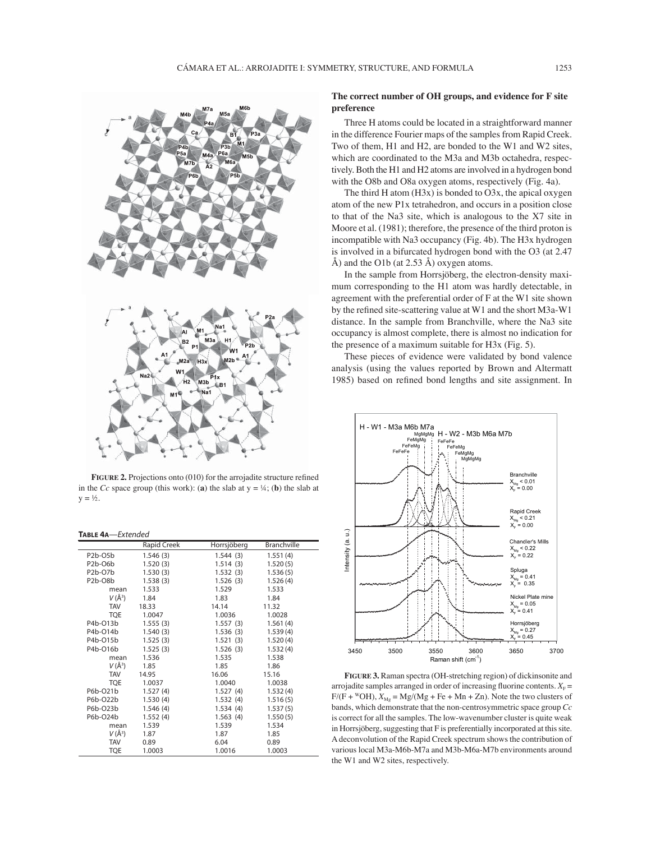

FIGURE 2. Projections onto (010) for the arrojadite structure refined in the *Cc* space group (this work): (a) the slab at  $y = \frac{1}{4}$ ; (b) the slab at  $y = \frac{1}{2}$ .

#### **TABLE 4A**—Extended

|                                   | Rapid Creek | Horrsjöberg | <b>Branchville</b> |  |
|-----------------------------------|-------------|-------------|--------------------|--|
| P <sub>2</sub> b-O <sub>5</sub> b | 1.546(3)    | 1.544(3)    | 1.551(4)           |  |
| P <sub>2</sub> b-O <sub>6</sub> b | 1.520(3)    | 1.514(3)    | 1.520(5)           |  |
| P2b-O7b                           | 1.530(3)    | 1.532(3)    | 1.536(5)           |  |
| P <sub>2</sub> b-O <sub>8</sub> b | 1.538(3)    | 1.526(3)    | 1.526(4)           |  |
| mean                              | 1.533       | 1.529       | 1.533              |  |
| $V(\AA^3)$                        | 1.84        | 1.83        | 1.84               |  |
| <b>TAV</b>                        | 18.33       | 14.14       | 11.32              |  |
| <b>TOE</b>                        | 1.0047      | 1.0036      | 1.0028             |  |
| P4b-O13b                          | 1.555(3)    | 1.557(3)    | 1.561(4)           |  |
| P4b-O14b                          | 1.540(3)    | 1.536(3)    | 1.539(4)           |  |
| P4b-O15b                          | 1.525(3)    | 1.521(3)    | 1.520(4)           |  |
| P4b-016b                          | 1.525(3)    | 1.526(3)    | 1.532(4)           |  |
| mean                              | 1.536       | 1.535       | 1.538              |  |
| $V(\AA^3)$                        | 1.85        | 1.85        | 1.86               |  |
| <b>TAV</b>                        | 14.95       | 16.06       | 15.16              |  |
| <b>TQE</b>                        | 1.0037      | 1.0040      | 1.0038             |  |
| P6b-O21b                          | 1.527(4)    | 1.527(4)    | 1.532(4)           |  |
| P6b-O22b                          | 1.530(4)    | 1.532(4)    | 1.516(5)           |  |
| P6b-O23b                          | 1.546(4)    | 1.534(4)    | 1.537(5)           |  |
| P6b-O24b                          | 1.552(4)    | 1.563(4)    | 1.550(5)           |  |
| mean                              | 1.539       | 1.539       | 1.534              |  |
| $V(\AA^3)$                        | 1.87        | 1.87        | 1.85               |  |
| <b>TAV</b>                        | 0.89        | 6.04        | 0.89               |  |
| TQE                               | 1.0003      | 1.0016      | 1.0003             |  |

## **The correct number of OH groups, and evidence for F site preference**

Three H atoms could be located in a straightforward manner in the difference Fourier maps of the samples from Rapid Creek. Two of them, H1 and H2, are bonded to the W1 and W2 sites, which are coordinated to the M3a and M3b octahedra, respectively. Both the H1 and H2 atoms are involved in a hydrogen bond with the O8b and O8a oxygen atoms, respectively (Fig. 4a).

The third H atom (H3x) is bonded to O3x, the apical oxygen atom of the new P1x tetrahedron, and occurs in a position close to that of the Na3 site, which is analogous to the X7 site in Moore et al. (1981); therefore, the presence of the third proton is incompatible with Na3 occupancy (Fig. 4b). The H3x hydrogen is involved in a bifurcated hydrogen bond with the O3 (at 2.47 Å) and the O1b (at 2.53 Å) oxygen atoms.

In the sample from Horrsjöberg, the electron-density maximum corresponding to the H1 atom was hardly detectable, in agreement with the preferential order of F at the W1 site shown by the refined site-scattering value at W1 and the short M3a-W1 distance. In the sample from Branchville, where the Na3 site occupancy is almost complete, there is almost no indication for the presence of a maximum suitable for H3x (Fig. 5).

These pieces of evidence were validated by bond valence analysis (using the values reported by Brown and Altermatt 1985) based on refined bond lengths and site assignment. In



**FIGURE 3.** Raman spectra (OH-stretching region) of dickinsonite and arrojadite samples arranged in order of increasing fluorine contents.  $X_F =$  $F/(F + WOH)$ ,  $X_{Mg} = Mg/(Mg + Fe + Mn + Zn)$ . Note the two clusters of bands, which demonstrate that the non-centrosymmetric space group *Cc* is correct for all the samples. The low-wavenumber cluster is quite weak in Horrsjöberg, suggesting that F is preferentially incorporated at this site. A deconvolution of the Rapid Creek spectrum shows the contribution of various local M3a-M6b-M7a and M3b-M6a-M7b environments around the W1 and W2 sites, respectively.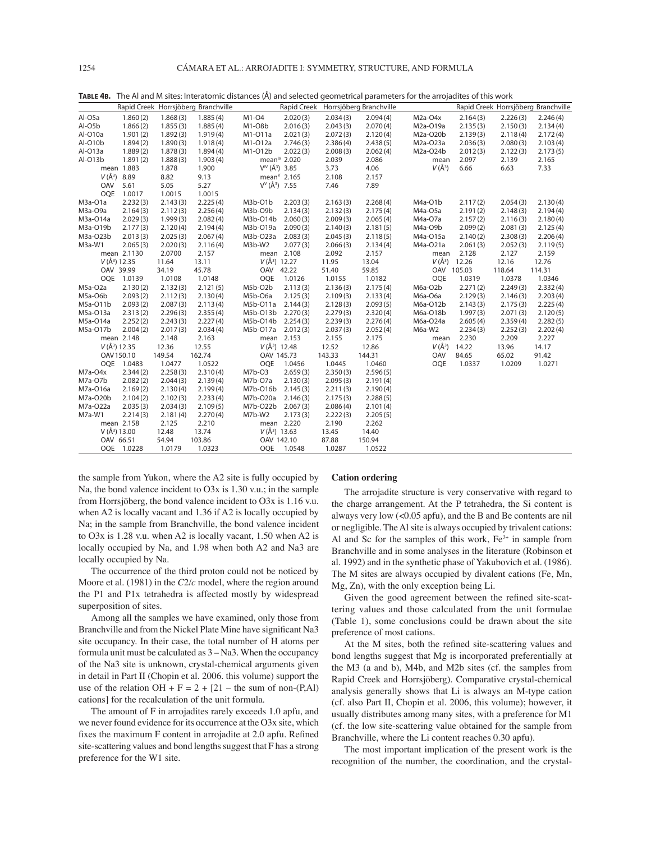| 1.885(4)<br>2.094(4)<br>Al-O5a<br>1.860(2)<br>1.868(3)<br>$M1-O4$<br>2.020(3)<br>2.034(3)<br>$M2a-O4x$<br>2.164(3)<br>2.226(3)<br>2.246(4)<br>Al-O5b<br>1.866(2)<br>1.885(4)<br>M1-08b<br>2.016(3)<br>2.043(3)<br>2.070(4)<br>M2a-O19a<br>2.134(4)<br>1.855(3)<br>2.135(3)<br>2.150(3)<br>Al-O10a<br>1.901(2)<br>1.892(3)<br>1.919(4)<br>M1-011a<br>2.021(3)<br>2.072(3)<br>2.120(4)<br>M2a-O20b<br>2.139(3)<br>2.118(4)<br>2.172(4)<br>Al-O10b<br>2.080(3)<br>1.894(2)<br>1.890(3)<br>1.918(4)<br>M1-012a<br>2.746(3)<br>2.386(4)<br>2.438(5)<br>M2a-O23a<br>2.036(3)<br>2.103(4)<br>Al-O13a<br>1.889(2)<br>M1-012b<br>2.022(3)<br>M2a-O24b<br>1.878(3)<br>1.894(4)<br>2.008(3)<br>2.062(4)<br>2.012(3)<br>2.122(3)<br>2.173(5)<br>Al-O13b<br>mean <sup>1</sup> 2.020<br>2.039<br>2.086<br>1.891(2)<br>1.888(3)<br>1.903(4)<br>2.097<br>2.139<br>2.165<br>mean<br>$V^{IV}(\AA^3)$ 3.85<br>$V(\AA^3)$<br>6.63<br>7.33<br>mean 1.883<br>1.878<br>1.900<br>3.73<br>4.06<br>6.66<br>$V(\AA^3)$ 8.89<br>mean $V$ 2.165<br>8.82<br>9.13<br>2.108<br>2.157<br>5.27<br>$V^{\vee}(\AA^3)$ 7.55<br>OAV<br>5.61<br>5.05<br>7.46<br>7.89<br>OQE<br>1.0015<br>1.0015<br>1.0017<br>2.225(4)<br>2.232(3)<br>2.143(3)<br>M3b-O1b<br>2.203(3)<br>2.163(3)<br>2.268(4)<br>2.117(2)<br>2.054(3)<br>2.130(4)<br>M3a-O1a<br>M4a-O1b<br>2.164(3)<br>2.256(4)<br>M3b-O9b<br>2.134(3)<br>2.148(3)<br>M3a-O9a<br>2.112(3)<br>2.132(3)<br>2.175(4)<br>M4a-O5a<br>2.191(2)<br>2.194(4)<br>M3a-O14a<br>2.029(3)<br>2.082(4)<br>M3b-O14b 2.060(3)<br>2.009(3)<br>2.065(4)<br>2.116(3)<br>1.999(3)<br>M4a-O7a<br>2.157(2)<br>2.180(4)<br>M3a-O19b<br>2.177(3)<br>2.120(4)<br>2.194(4)<br>M3b-O19a<br>2.090(3)<br>2.140(3)<br>2.181(5)<br>M4a-O9b<br>2.099(2)<br>2.081(3)<br>2.125(4)<br>M3a-O23b<br>M3b-O23a 2.083(3)<br>2.045(3)<br>2.140(2)<br>2.308(3)<br>2.013(3)<br>2.025(3)<br>2.067(4)<br>2.118(5)<br>M4a-O15a<br>2.206(4)<br>M3a-W1<br>M3b-W2<br>2.077(3)<br>2.065(3)<br>2.020(3)<br>2.116(4)<br>2.066(3)<br>2.134(4)<br>M4a-O21a<br>2.061(3)<br>2.052(3)<br>2.119(5)<br>2.0700<br>mean 2.108<br>2.127<br>mean 2.1130<br>2.157<br>2.092<br>2.157<br>2.128<br>2.159<br>mean<br>$V(\AA^3)$ 12.27<br>$V(\AA^3)$ 12.26<br>$V(\AA^3)$ 12.35<br>13.11<br>13.04<br>11.64<br>11.95<br>12.16<br>12.76<br>34.19<br>45.78<br>59.85<br>OAV 105.03<br>OAV 39.99<br>OAV 42.22<br>51.40<br>118.64<br>114.31<br><b>OOE</b><br><b>OOE</b><br>OQE 1.0139<br>1.0108<br>1.0148<br>1.0126<br>1.0155<br>1.0182<br>1.0319<br>1.0378<br>1.0346<br>2.271(2)<br>2.332(4)<br>2.130(2)<br>2.132(3)<br>2.121(5)<br>M5b-O2b<br>2.113(3)<br>2.136(3)<br>2.175(4)<br>M6a-O2b<br>2.249(3)<br>M5a-O2a<br>M5a-O6b<br>2.093(2)<br>M5b-O6a<br>2.125(3)<br>M6a-O6a<br>2.129(3)<br>2.112(3)<br>2.130(4)<br>2.109(3)<br>2.133(4)<br>2.146(3)<br>2.203(4)<br>M5a-O11b<br>2.093(2)<br>M5b-O11a 2.144(3)<br>M6a-O12b<br>2.087(3)<br>2.113(4)<br>2.128(3)<br>2.093(5)<br>2.143(3)<br>2.175(3)<br>2.225(4)<br>2.279(3)<br>2.071(3)<br>M5a-O13a<br>2.313(2)<br>2.296(3)<br>2.355(4)<br>M5b-O13b 2.270(3)<br>2.320(4)<br>M6a-O18b<br>1.997(3)<br>2.120(5)<br>M5a-O14a<br>2.252(2)<br>2.243(3)<br>2.227(4)<br>M5b-O14b 2.254(3)<br>2.239(3)<br>2.605(4)<br>2.359(4)<br>2.282(5)<br>2.276(4)<br>M6a-O24a<br>M5a-O17b<br>2.004(2)<br>2.017(3)<br>2.034(4)<br>M5b-O17a 2.012(3)<br>2.037(3)<br>M6a-W2<br>2.234(3)<br>2.252(3)<br>2.202(4)<br>2.052(4)<br>2.209<br>mean 2.148<br>2.148<br>2.163<br>mean 2.153<br>2.155<br>2.175<br>2.230<br>2.227<br>mean<br>$V(\AA^3)$ 12.35<br>$V(\AA^3)$ 12.48<br>$V(\AA^3)$ 14.22<br>12.36<br>12.55<br>12.52<br>12.86<br>13.96<br>14.17<br>OAV 150.10<br>149.54<br>162.74<br>OAV 145.73<br>143.33<br>144.31<br>OAV<br>84.65<br>91.42<br>65.02<br>OOE 1.0483<br>1.0477<br>1.0522<br>OOE 1.0456<br>1.0445<br>1.0460<br><b>OOE</b><br>1.0337<br>1.0209<br>1.0271<br>2.258(3)<br>2.310(4)<br>$M7b-O3$<br>2.659(3)<br>2.350(3)<br>M7a-O4x<br>2.344(2)<br>2.596(5)<br>2.082(2)<br>M7b-O7a<br>M7a-O7b<br>2.130(3)<br>2.095(3)<br>2.044(3)<br>2.139(4)<br>2.191(4)<br>2.169(2)<br>M7b-O16b 2.145(3)<br>M7a-O16a<br>2.130(4)<br>2.199(4)<br>2.211(3)<br>2.190(4)<br>M7b-O20a 2.146(3)<br>M7a-O20b<br>2.104(2)<br>2.102(3)<br>2.233(4)<br>2.175(3)<br>2.288(5)<br>M7a-O22a<br>2.035(3)<br>2.034(3)<br>2.109(5)<br>M7b-O22b 2.067(3)<br>2.086(4)<br>2.101(4)<br>M7a-W1<br>2.214(3)<br>2.181(4)<br>2.270(4)<br>M7b-W2<br>2.173(3)<br>2.222(3)<br>2.205(5) |  | Rapid Creek Horrsjöberg Branchville |  | Rapid Creek Horrsjöberg Branchville |  |  | Rapid Creek Horrsjöberg Branchville |
|----------------------------------------------------------------------------------------------------------------------------------------------------------------------------------------------------------------------------------------------------------------------------------------------------------------------------------------------------------------------------------------------------------------------------------------------------------------------------------------------------------------------------------------------------------------------------------------------------------------------------------------------------------------------------------------------------------------------------------------------------------------------------------------------------------------------------------------------------------------------------------------------------------------------------------------------------------------------------------------------------------------------------------------------------------------------------------------------------------------------------------------------------------------------------------------------------------------------------------------------------------------------------------------------------------------------------------------------------------------------------------------------------------------------------------------------------------------------------------------------------------------------------------------------------------------------------------------------------------------------------------------------------------------------------------------------------------------------------------------------------------------------------------------------------------------------------------------------------------------------------------------------------------------------------------------------------------------------------------------------------------------------------------------------------------------------------------------------------------------------------------------------------------------------------------------------------------------------------------------------------------------------------------------------------------------------------------------------------------------------------------------------------------------------------------------------------------------------------------------------------------------------------------------------------------------------------------------------------------------------------------------------------------------------------------------------------------------------------------------------------------------------------------------------------------------------------------------------------------------------------------------------------------------------------------------------------------------------------------------------------------------------------------------------------------------------------------------------------------------------------------------------------------------------------------------------------------------------------------------------------------------------------------------------------------------------------------------------------------------------------------------------------------------------------------------------------------------------------------------------------------------------------------------------------------------------------------------------------------------------------------------------------------------------------------------------------------------------------------------------------------------------------------------------------------------------------------------------------------------------------------------------------------------------------------------------------------------------------------------------------------------------------------------------------------------------------------------------------------------------------------------------------------------------------------------------------------------------------------------------------------------------------------------------------------------------------------------------------------------------------------------------------------|--|-------------------------------------|--|-------------------------------------|--|--|-------------------------------------|
|                                                                                                                                                                                                                                                                                                                                                                                                                                                                                                                                                                                                                                                                                                                                                                                                                                                                                                                                                                                                                                                                                                                                                                                                                                                                                                                                                                                                                                                                                                                                                                                                                                                                                                                                                                                                                                                                                                                                                                                                                                                                                                                                                                                                                                                                                                                                                                                                                                                                                                                                                                                                                                                                                                                                                                                                                                                                                                                                                                                                                                                                                                                                                                                                                                                                                                                                                                                                                                                                                                                                                                                                                                                                                                                                                                                                                                                                                                                                                                                                                                                                                                                                                                                                                                                                                                                                                                                                          |  |                                     |  |                                     |  |  |                                     |
|                                                                                                                                                                                                                                                                                                                                                                                                                                                                                                                                                                                                                                                                                                                                                                                                                                                                                                                                                                                                                                                                                                                                                                                                                                                                                                                                                                                                                                                                                                                                                                                                                                                                                                                                                                                                                                                                                                                                                                                                                                                                                                                                                                                                                                                                                                                                                                                                                                                                                                                                                                                                                                                                                                                                                                                                                                                                                                                                                                                                                                                                                                                                                                                                                                                                                                                                                                                                                                                                                                                                                                                                                                                                                                                                                                                                                                                                                                                                                                                                                                                                                                                                                                                                                                                                                                                                                                                                          |  |                                     |  |                                     |  |  |                                     |
|                                                                                                                                                                                                                                                                                                                                                                                                                                                                                                                                                                                                                                                                                                                                                                                                                                                                                                                                                                                                                                                                                                                                                                                                                                                                                                                                                                                                                                                                                                                                                                                                                                                                                                                                                                                                                                                                                                                                                                                                                                                                                                                                                                                                                                                                                                                                                                                                                                                                                                                                                                                                                                                                                                                                                                                                                                                                                                                                                                                                                                                                                                                                                                                                                                                                                                                                                                                                                                                                                                                                                                                                                                                                                                                                                                                                                                                                                                                                                                                                                                                                                                                                                                                                                                                                                                                                                                                                          |  |                                     |  |                                     |  |  |                                     |
|                                                                                                                                                                                                                                                                                                                                                                                                                                                                                                                                                                                                                                                                                                                                                                                                                                                                                                                                                                                                                                                                                                                                                                                                                                                                                                                                                                                                                                                                                                                                                                                                                                                                                                                                                                                                                                                                                                                                                                                                                                                                                                                                                                                                                                                                                                                                                                                                                                                                                                                                                                                                                                                                                                                                                                                                                                                                                                                                                                                                                                                                                                                                                                                                                                                                                                                                                                                                                                                                                                                                                                                                                                                                                                                                                                                                                                                                                                                                                                                                                                                                                                                                                                                                                                                                                                                                                                                                          |  |                                     |  |                                     |  |  |                                     |
|                                                                                                                                                                                                                                                                                                                                                                                                                                                                                                                                                                                                                                                                                                                                                                                                                                                                                                                                                                                                                                                                                                                                                                                                                                                                                                                                                                                                                                                                                                                                                                                                                                                                                                                                                                                                                                                                                                                                                                                                                                                                                                                                                                                                                                                                                                                                                                                                                                                                                                                                                                                                                                                                                                                                                                                                                                                                                                                                                                                                                                                                                                                                                                                                                                                                                                                                                                                                                                                                                                                                                                                                                                                                                                                                                                                                                                                                                                                                                                                                                                                                                                                                                                                                                                                                                                                                                                                                          |  |                                     |  |                                     |  |  |                                     |
|                                                                                                                                                                                                                                                                                                                                                                                                                                                                                                                                                                                                                                                                                                                                                                                                                                                                                                                                                                                                                                                                                                                                                                                                                                                                                                                                                                                                                                                                                                                                                                                                                                                                                                                                                                                                                                                                                                                                                                                                                                                                                                                                                                                                                                                                                                                                                                                                                                                                                                                                                                                                                                                                                                                                                                                                                                                                                                                                                                                                                                                                                                                                                                                                                                                                                                                                                                                                                                                                                                                                                                                                                                                                                                                                                                                                                                                                                                                                                                                                                                                                                                                                                                                                                                                                                                                                                                                                          |  |                                     |  |                                     |  |  |                                     |
|                                                                                                                                                                                                                                                                                                                                                                                                                                                                                                                                                                                                                                                                                                                                                                                                                                                                                                                                                                                                                                                                                                                                                                                                                                                                                                                                                                                                                                                                                                                                                                                                                                                                                                                                                                                                                                                                                                                                                                                                                                                                                                                                                                                                                                                                                                                                                                                                                                                                                                                                                                                                                                                                                                                                                                                                                                                                                                                                                                                                                                                                                                                                                                                                                                                                                                                                                                                                                                                                                                                                                                                                                                                                                                                                                                                                                                                                                                                                                                                                                                                                                                                                                                                                                                                                                                                                                                                                          |  |                                     |  |                                     |  |  |                                     |
|                                                                                                                                                                                                                                                                                                                                                                                                                                                                                                                                                                                                                                                                                                                                                                                                                                                                                                                                                                                                                                                                                                                                                                                                                                                                                                                                                                                                                                                                                                                                                                                                                                                                                                                                                                                                                                                                                                                                                                                                                                                                                                                                                                                                                                                                                                                                                                                                                                                                                                                                                                                                                                                                                                                                                                                                                                                                                                                                                                                                                                                                                                                                                                                                                                                                                                                                                                                                                                                                                                                                                                                                                                                                                                                                                                                                                                                                                                                                                                                                                                                                                                                                                                                                                                                                                                                                                                                                          |  |                                     |  |                                     |  |  |                                     |
|                                                                                                                                                                                                                                                                                                                                                                                                                                                                                                                                                                                                                                                                                                                                                                                                                                                                                                                                                                                                                                                                                                                                                                                                                                                                                                                                                                                                                                                                                                                                                                                                                                                                                                                                                                                                                                                                                                                                                                                                                                                                                                                                                                                                                                                                                                                                                                                                                                                                                                                                                                                                                                                                                                                                                                                                                                                                                                                                                                                                                                                                                                                                                                                                                                                                                                                                                                                                                                                                                                                                                                                                                                                                                                                                                                                                                                                                                                                                                                                                                                                                                                                                                                                                                                                                                                                                                                                                          |  |                                     |  |                                     |  |  |                                     |
|                                                                                                                                                                                                                                                                                                                                                                                                                                                                                                                                                                                                                                                                                                                                                                                                                                                                                                                                                                                                                                                                                                                                                                                                                                                                                                                                                                                                                                                                                                                                                                                                                                                                                                                                                                                                                                                                                                                                                                                                                                                                                                                                                                                                                                                                                                                                                                                                                                                                                                                                                                                                                                                                                                                                                                                                                                                                                                                                                                                                                                                                                                                                                                                                                                                                                                                                                                                                                                                                                                                                                                                                                                                                                                                                                                                                                                                                                                                                                                                                                                                                                                                                                                                                                                                                                                                                                                                                          |  |                                     |  |                                     |  |  |                                     |
|                                                                                                                                                                                                                                                                                                                                                                                                                                                                                                                                                                                                                                                                                                                                                                                                                                                                                                                                                                                                                                                                                                                                                                                                                                                                                                                                                                                                                                                                                                                                                                                                                                                                                                                                                                                                                                                                                                                                                                                                                                                                                                                                                                                                                                                                                                                                                                                                                                                                                                                                                                                                                                                                                                                                                                                                                                                                                                                                                                                                                                                                                                                                                                                                                                                                                                                                                                                                                                                                                                                                                                                                                                                                                                                                                                                                                                                                                                                                                                                                                                                                                                                                                                                                                                                                                                                                                                                                          |  |                                     |  |                                     |  |  |                                     |
|                                                                                                                                                                                                                                                                                                                                                                                                                                                                                                                                                                                                                                                                                                                                                                                                                                                                                                                                                                                                                                                                                                                                                                                                                                                                                                                                                                                                                                                                                                                                                                                                                                                                                                                                                                                                                                                                                                                                                                                                                                                                                                                                                                                                                                                                                                                                                                                                                                                                                                                                                                                                                                                                                                                                                                                                                                                                                                                                                                                                                                                                                                                                                                                                                                                                                                                                                                                                                                                                                                                                                                                                                                                                                                                                                                                                                                                                                                                                                                                                                                                                                                                                                                                                                                                                                                                                                                                                          |  |                                     |  |                                     |  |  |                                     |
|                                                                                                                                                                                                                                                                                                                                                                                                                                                                                                                                                                                                                                                                                                                                                                                                                                                                                                                                                                                                                                                                                                                                                                                                                                                                                                                                                                                                                                                                                                                                                                                                                                                                                                                                                                                                                                                                                                                                                                                                                                                                                                                                                                                                                                                                                                                                                                                                                                                                                                                                                                                                                                                                                                                                                                                                                                                                                                                                                                                                                                                                                                                                                                                                                                                                                                                                                                                                                                                                                                                                                                                                                                                                                                                                                                                                                                                                                                                                                                                                                                                                                                                                                                                                                                                                                                                                                                                                          |  |                                     |  |                                     |  |  |                                     |
|                                                                                                                                                                                                                                                                                                                                                                                                                                                                                                                                                                                                                                                                                                                                                                                                                                                                                                                                                                                                                                                                                                                                                                                                                                                                                                                                                                                                                                                                                                                                                                                                                                                                                                                                                                                                                                                                                                                                                                                                                                                                                                                                                                                                                                                                                                                                                                                                                                                                                                                                                                                                                                                                                                                                                                                                                                                                                                                                                                                                                                                                                                                                                                                                                                                                                                                                                                                                                                                                                                                                                                                                                                                                                                                                                                                                                                                                                                                                                                                                                                                                                                                                                                                                                                                                                                                                                                                                          |  |                                     |  |                                     |  |  |                                     |
|                                                                                                                                                                                                                                                                                                                                                                                                                                                                                                                                                                                                                                                                                                                                                                                                                                                                                                                                                                                                                                                                                                                                                                                                                                                                                                                                                                                                                                                                                                                                                                                                                                                                                                                                                                                                                                                                                                                                                                                                                                                                                                                                                                                                                                                                                                                                                                                                                                                                                                                                                                                                                                                                                                                                                                                                                                                                                                                                                                                                                                                                                                                                                                                                                                                                                                                                                                                                                                                                                                                                                                                                                                                                                                                                                                                                                                                                                                                                                                                                                                                                                                                                                                                                                                                                                                                                                                                                          |  |                                     |  |                                     |  |  |                                     |
|                                                                                                                                                                                                                                                                                                                                                                                                                                                                                                                                                                                                                                                                                                                                                                                                                                                                                                                                                                                                                                                                                                                                                                                                                                                                                                                                                                                                                                                                                                                                                                                                                                                                                                                                                                                                                                                                                                                                                                                                                                                                                                                                                                                                                                                                                                                                                                                                                                                                                                                                                                                                                                                                                                                                                                                                                                                                                                                                                                                                                                                                                                                                                                                                                                                                                                                                                                                                                                                                                                                                                                                                                                                                                                                                                                                                                                                                                                                                                                                                                                                                                                                                                                                                                                                                                                                                                                                                          |  |                                     |  |                                     |  |  |                                     |
|                                                                                                                                                                                                                                                                                                                                                                                                                                                                                                                                                                                                                                                                                                                                                                                                                                                                                                                                                                                                                                                                                                                                                                                                                                                                                                                                                                                                                                                                                                                                                                                                                                                                                                                                                                                                                                                                                                                                                                                                                                                                                                                                                                                                                                                                                                                                                                                                                                                                                                                                                                                                                                                                                                                                                                                                                                                                                                                                                                                                                                                                                                                                                                                                                                                                                                                                                                                                                                                                                                                                                                                                                                                                                                                                                                                                                                                                                                                                                                                                                                                                                                                                                                                                                                                                                                                                                                                                          |  |                                     |  |                                     |  |  |                                     |
|                                                                                                                                                                                                                                                                                                                                                                                                                                                                                                                                                                                                                                                                                                                                                                                                                                                                                                                                                                                                                                                                                                                                                                                                                                                                                                                                                                                                                                                                                                                                                                                                                                                                                                                                                                                                                                                                                                                                                                                                                                                                                                                                                                                                                                                                                                                                                                                                                                                                                                                                                                                                                                                                                                                                                                                                                                                                                                                                                                                                                                                                                                                                                                                                                                                                                                                                                                                                                                                                                                                                                                                                                                                                                                                                                                                                                                                                                                                                                                                                                                                                                                                                                                                                                                                                                                                                                                                                          |  |                                     |  |                                     |  |  |                                     |
|                                                                                                                                                                                                                                                                                                                                                                                                                                                                                                                                                                                                                                                                                                                                                                                                                                                                                                                                                                                                                                                                                                                                                                                                                                                                                                                                                                                                                                                                                                                                                                                                                                                                                                                                                                                                                                                                                                                                                                                                                                                                                                                                                                                                                                                                                                                                                                                                                                                                                                                                                                                                                                                                                                                                                                                                                                                                                                                                                                                                                                                                                                                                                                                                                                                                                                                                                                                                                                                                                                                                                                                                                                                                                                                                                                                                                                                                                                                                                                                                                                                                                                                                                                                                                                                                                                                                                                                                          |  |                                     |  |                                     |  |  |                                     |
|                                                                                                                                                                                                                                                                                                                                                                                                                                                                                                                                                                                                                                                                                                                                                                                                                                                                                                                                                                                                                                                                                                                                                                                                                                                                                                                                                                                                                                                                                                                                                                                                                                                                                                                                                                                                                                                                                                                                                                                                                                                                                                                                                                                                                                                                                                                                                                                                                                                                                                                                                                                                                                                                                                                                                                                                                                                                                                                                                                                                                                                                                                                                                                                                                                                                                                                                                                                                                                                                                                                                                                                                                                                                                                                                                                                                                                                                                                                                                                                                                                                                                                                                                                                                                                                                                                                                                                                                          |  |                                     |  |                                     |  |  |                                     |
|                                                                                                                                                                                                                                                                                                                                                                                                                                                                                                                                                                                                                                                                                                                                                                                                                                                                                                                                                                                                                                                                                                                                                                                                                                                                                                                                                                                                                                                                                                                                                                                                                                                                                                                                                                                                                                                                                                                                                                                                                                                                                                                                                                                                                                                                                                                                                                                                                                                                                                                                                                                                                                                                                                                                                                                                                                                                                                                                                                                                                                                                                                                                                                                                                                                                                                                                                                                                                                                                                                                                                                                                                                                                                                                                                                                                                                                                                                                                                                                                                                                                                                                                                                                                                                                                                                                                                                                                          |  |                                     |  |                                     |  |  |                                     |
|                                                                                                                                                                                                                                                                                                                                                                                                                                                                                                                                                                                                                                                                                                                                                                                                                                                                                                                                                                                                                                                                                                                                                                                                                                                                                                                                                                                                                                                                                                                                                                                                                                                                                                                                                                                                                                                                                                                                                                                                                                                                                                                                                                                                                                                                                                                                                                                                                                                                                                                                                                                                                                                                                                                                                                                                                                                                                                                                                                                                                                                                                                                                                                                                                                                                                                                                                                                                                                                                                                                                                                                                                                                                                                                                                                                                                                                                                                                                                                                                                                                                                                                                                                                                                                                                                                                                                                                                          |  |                                     |  |                                     |  |  |                                     |
|                                                                                                                                                                                                                                                                                                                                                                                                                                                                                                                                                                                                                                                                                                                                                                                                                                                                                                                                                                                                                                                                                                                                                                                                                                                                                                                                                                                                                                                                                                                                                                                                                                                                                                                                                                                                                                                                                                                                                                                                                                                                                                                                                                                                                                                                                                                                                                                                                                                                                                                                                                                                                                                                                                                                                                                                                                                                                                                                                                                                                                                                                                                                                                                                                                                                                                                                                                                                                                                                                                                                                                                                                                                                                                                                                                                                                                                                                                                                                                                                                                                                                                                                                                                                                                                                                                                                                                                                          |  |                                     |  |                                     |  |  |                                     |
|                                                                                                                                                                                                                                                                                                                                                                                                                                                                                                                                                                                                                                                                                                                                                                                                                                                                                                                                                                                                                                                                                                                                                                                                                                                                                                                                                                                                                                                                                                                                                                                                                                                                                                                                                                                                                                                                                                                                                                                                                                                                                                                                                                                                                                                                                                                                                                                                                                                                                                                                                                                                                                                                                                                                                                                                                                                                                                                                                                                                                                                                                                                                                                                                                                                                                                                                                                                                                                                                                                                                                                                                                                                                                                                                                                                                                                                                                                                                                                                                                                                                                                                                                                                                                                                                                                                                                                                                          |  |                                     |  |                                     |  |  |                                     |
|                                                                                                                                                                                                                                                                                                                                                                                                                                                                                                                                                                                                                                                                                                                                                                                                                                                                                                                                                                                                                                                                                                                                                                                                                                                                                                                                                                                                                                                                                                                                                                                                                                                                                                                                                                                                                                                                                                                                                                                                                                                                                                                                                                                                                                                                                                                                                                                                                                                                                                                                                                                                                                                                                                                                                                                                                                                                                                                                                                                                                                                                                                                                                                                                                                                                                                                                                                                                                                                                                                                                                                                                                                                                                                                                                                                                                                                                                                                                                                                                                                                                                                                                                                                                                                                                                                                                                                                                          |  |                                     |  |                                     |  |  |                                     |
|                                                                                                                                                                                                                                                                                                                                                                                                                                                                                                                                                                                                                                                                                                                                                                                                                                                                                                                                                                                                                                                                                                                                                                                                                                                                                                                                                                                                                                                                                                                                                                                                                                                                                                                                                                                                                                                                                                                                                                                                                                                                                                                                                                                                                                                                                                                                                                                                                                                                                                                                                                                                                                                                                                                                                                                                                                                                                                                                                                                                                                                                                                                                                                                                                                                                                                                                                                                                                                                                                                                                                                                                                                                                                                                                                                                                                                                                                                                                                                                                                                                                                                                                                                                                                                                                                                                                                                                                          |  |                                     |  |                                     |  |  |                                     |
|                                                                                                                                                                                                                                                                                                                                                                                                                                                                                                                                                                                                                                                                                                                                                                                                                                                                                                                                                                                                                                                                                                                                                                                                                                                                                                                                                                                                                                                                                                                                                                                                                                                                                                                                                                                                                                                                                                                                                                                                                                                                                                                                                                                                                                                                                                                                                                                                                                                                                                                                                                                                                                                                                                                                                                                                                                                                                                                                                                                                                                                                                                                                                                                                                                                                                                                                                                                                                                                                                                                                                                                                                                                                                                                                                                                                                                                                                                                                                                                                                                                                                                                                                                                                                                                                                                                                                                                                          |  |                                     |  |                                     |  |  |                                     |
|                                                                                                                                                                                                                                                                                                                                                                                                                                                                                                                                                                                                                                                                                                                                                                                                                                                                                                                                                                                                                                                                                                                                                                                                                                                                                                                                                                                                                                                                                                                                                                                                                                                                                                                                                                                                                                                                                                                                                                                                                                                                                                                                                                                                                                                                                                                                                                                                                                                                                                                                                                                                                                                                                                                                                                                                                                                                                                                                                                                                                                                                                                                                                                                                                                                                                                                                                                                                                                                                                                                                                                                                                                                                                                                                                                                                                                                                                                                                                                                                                                                                                                                                                                                                                                                                                                                                                                                                          |  |                                     |  |                                     |  |  |                                     |
|                                                                                                                                                                                                                                                                                                                                                                                                                                                                                                                                                                                                                                                                                                                                                                                                                                                                                                                                                                                                                                                                                                                                                                                                                                                                                                                                                                                                                                                                                                                                                                                                                                                                                                                                                                                                                                                                                                                                                                                                                                                                                                                                                                                                                                                                                                                                                                                                                                                                                                                                                                                                                                                                                                                                                                                                                                                                                                                                                                                                                                                                                                                                                                                                                                                                                                                                                                                                                                                                                                                                                                                                                                                                                                                                                                                                                                                                                                                                                                                                                                                                                                                                                                                                                                                                                                                                                                                                          |  |                                     |  |                                     |  |  |                                     |
|                                                                                                                                                                                                                                                                                                                                                                                                                                                                                                                                                                                                                                                                                                                                                                                                                                                                                                                                                                                                                                                                                                                                                                                                                                                                                                                                                                                                                                                                                                                                                                                                                                                                                                                                                                                                                                                                                                                                                                                                                                                                                                                                                                                                                                                                                                                                                                                                                                                                                                                                                                                                                                                                                                                                                                                                                                                                                                                                                                                                                                                                                                                                                                                                                                                                                                                                                                                                                                                                                                                                                                                                                                                                                                                                                                                                                                                                                                                                                                                                                                                                                                                                                                                                                                                                                                                                                                                                          |  |                                     |  |                                     |  |  |                                     |
|                                                                                                                                                                                                                                                                                                                                                                                                                                                                                                                                                                                                                                                                                                                                                                                                                                                                                                                                                                                                                                                                                                                                                                                                                                                                                                                                                                                                                                                                                                                                                                                                                                                                                                                                                                                                                                                                                                                                                                                                                                                                                                                                                                                                                                                                                                                                                                                                                                                                                                                                                                                                                                                                                                                                                                                                                                                                                                                                                                                                                                                                                                                                                                                                                                                                                                                                                                                                                                                                                                                                                                                                                                                                                                                                                                                                                                                                                                                                                                                                                                                                                                                                                                                                                                                                                                                                                                                                          |  |                                     |  |                                     |  |  |                                     |
|                                                                                                                                                                                                                                                                                                                                                                                                                                                                                                                                                                                                                                                                                                                                                                                                                                                                                                                                                                                                                                                                                                                                                                                                                                                                                                                                                                                                                                                                                                                                                                                                                                                                                                                                                                                                                                                                                                                                                                                                                                                                                                                                                                                                                                                                                                                                                                                                                                                                                                                                                                                                                                                                                                                                                                                                                                                                                                                                                                                                                                                                                                                                                                                                                                                                                                                                                                                                                                                                                                                                                                                                                                                                                                                                                                                                                                                                                                                                                                                                                                                                                                                                                                                                                                                                                                                                                                                                          |  |                                     |  |                                     |  |  |                                     |
|                                                                                                                                                                                                                                                                                                                                                                                                                                                                                                                                                                                                                                                                                                                                                                                                                                                                                                                                                                                                                                                                                                                                                                                                                                                                                                                                                                                                                                                                                                                                                                                                                                                                                                                                                                                                                                                                                                                                                                                                                                                                                                                                                                                                                                                                                                                                                                                                                                                                                                                                                                                                                                                                                                                                                                                                                                                                                                                                                                                                                                                                                                                                                                                                                                                                                                                                                                                                                                                                                                                                                                                                                                                                                                                                                                                                                                                                                                                                                                                                                                                                                                                                                                                                                                                                                                                                                                                                          |  |                                     |  |                                     |  |  |                                     |
|                                                                                                                                                                                                                                                                                                                                                                                                                                                                                                                                                                                                                                                                                                                                                                                                                                                                                                                                                                                                                                                                                                                                                                                                                                                                                                                                                                                                                                                                                                                                                                                                                                                                                                                                                                                                                                                                                                                                                                                                                                                                                                                                                                                                                                                                                                                                                                                                                                                                                                                                                                                                                                                                                                                                                                                                                                                                                                                                                                                                                                                                                                                                                                                                                                                                                                                                                                                                                                                                                                                                                                                                                                                                                                                                                                                                                                                                                                                                                                                                                                                                                                                                                                                                                                                                                                                                                                                                          |  |                                     |  |                                     |  |  |                                     |
|                                                                                                                                                                                                                                                                                                                                                                                                                                                                                                                                                                                                                                                                                                                                                                                                                                                                                                                                                                                                                                                                                                                                                                                                                                                                                                                                                                                                                                                                                                                                                                                                                                                                                                                                                                                                                                                                                                                                                                                                                                                                                                                                                                                                                                                                                                                                                                                                                                                                                                                                                                                                                                                                                                                                                                                                                                                                                                                                                                                                                                                                                                                                                                                                                                                                                                                                                                                                                                                                                                                                                                                                                                                                                                                                                                                                                                                                                                                                                                                                                                                                                                                                                                                                                                                                                                                                                                                                          |  |                                     |  |                                     |  |  |                                     |
| mean 2.158<br>2.125<br>2.210<br>mean 2.220<br>2.190<br>2.262                                                                                                                                                                                                                                                                                                                                                                                                                                                                                                                                                                                                                                                                                                                                                                                                                                                                                                                                                                                                                                                                                                                                                                                                                                                                                                                                                                                                                                                                                                                                                                                                                                                                                                                                                                                                                                                                                                                                                                                                                                                                                                                                                                                                                                                                                                                                                                                                                                                                                                                                                                                                                                                                                                                                                                                                                                                                                                                                                                                                                                                                                                                                                                                                                                                                                                                                                                                                                                                                                                                                                                                                                                                                                                                                                                                                                                                                                                                                                                                                                                                                                                                                                                                                                                                                                                                                             |  |                                     |  |                                     |  |  |                                     |
| $V(\AA^3)$ 13.00<br>13.74<br>$V(\AA^3)$ 13.63<br>12.48<br>13.45<br>14.40                                                                                                                                                                                                                                                                                                                                                                                                                                                                                                                                                                                                                                                                                                                                                                                                                                                                                                                                                                                                                                                                                                                                                                                                                                                                                                                                                                                                                                                                                                                                                                                                                                                                                                                                                                                                                                                                                                                                                                                                                                                                                                                                                                                                                                                                                                                                                                                                                                                                                                                                                                                                                                                                                                                                                                                                                                                                                                                                                                                                                                                                                                                                                                                                                                                                                                                                                                                                                                                                                                                                                                                                                                                                                                                                                                                                                                                                                                                                                                                                                                                                                                                                                                                                                                                                                                                                 |  |                                     |  |                                     |  |  |                                     |
| OAV 66.51<br>54.94<br>103.86<br>OAV 142.10<br>87.88<br>150.94                                                                                                                                                                                                                                                                                                                                                                                                                                                                                                                                                                                                                                                                                                                                                                                                                                                                                                                                                                                                                                                                                                                                                                                                                                                                                                                                                                                                                                                                                                                                                                                                                                                                                                                                                                                                                                                                                                                                                                                                                                                                                                                                                                                                                                                                                                                                                                                                                                                                                                                                                                                                                                                                                                                                                                                                                                                                                                                                                                                                                                                                                                                                                                                                                                                                                                                                                                                                                                                                                                                                                                                                                                                                                                                                                                                                                                                                                                                                                                                                                                                                                                                                                                                                                                                                                                                                            |  |                                     |  |                                     |  |  |                                     |
| OOE 1.0548<br>OOE 1.0228<br>1.0179<br>1.0323<br>1.0287<br>1.0522                                                                                                                                                                                                                                                                                                                                                                                                                                                                                                                                                                                                                                                                                                                                                                                                                                                                                                                                                                                                                                                                                                                                                                                                                                                                                                                                                                                                                                                                                                                                                                                                                                                                                                                                                                                                                                                                                                                                                                                                                                                                                                                                                                                                                                                                                                                                                                                                                                                                                                                                                                                                                                                                                                                                                                                                                                                                                                                                                                                                                                                                                                                                                                                                                                                                                                                                                                                                                                                                                                                                                                                                                                                                                                                                                                                                                                                                                                                                                                                                                                                                                                                                                                                                                                                                                                                                         |  |                                     |  |                                     |  |  |                                     |

**TABLE 4B.** The Al and M sites: Interatomic distances (Å) and selected geometrical parameters for the arrojadites of this work

the sample from Yukon, where the A2 site is fully occupied by Na, the bond valence incident to O3x is 1.30 v.u.; in the sample from Horrsjöberg, the bond valence incident to  $O3x$  is 1.16 v.u. when A2 is locally vacant and 1.36 if A2 is locally occupied by Na; in the sample from Branchville, the bond valence incident to O3x is 1.28 v.u. when A2 is locally vacant, 1.50 when A2 is locally occupied by Na, and 1.98 when both A2 and Na3 are locally occupied by Na.

The occurrence of the third proton could not be noticed by Moore et al. (1981) in the *C*2/*c* model, where the region around the P1 and P1x tetrahedra is affected mostly by widespread superposition of sites.

Among all the samples we have examined, only those from Branchville and from the Nickel Plate Mine have significant Na3 site occupancy. In their case, the total number of H atoms per formula unit must be calculated as  $3 - Na3$ . When the occupancy of the Na3 site is unknown, crystal-chemical arguments given in detail in Part II (Chopin et al. 2006. this volume) support the use of the relation  $OH + F = 2 + [21 - the sum of non-(P,A])$ cations] for the recalculation of the unit formula.

The amount of F in arrojadites rarely exceeds 1.0 apfu, and we never found evidence for its occurrence at the O3x site, which fixes the maximum F content in arrojadite at 2.0 apfu. Refined site-scattering values and bond lengths suggest that F has a strong preference for the W1 site.

## **Cation ordering**

The arrojadite structure is very conservative with regard to the charge arrangement. At the P tetrahedra, the Si content is always very low (<0.05 apfu), and the B and Be contents are nil or negligible. The Al site is always occupied by trivalent cations: Al and Sc for the samples of this work,  $Fe<sup>3+</sup>$  in sample from Branchville and in some analyses in the literature (Robinson et al. 1992) and in the synthetic phase of Yakubovich et al. (1986). The M sites are always occupied by divalent cations (Fe, Mn, Mg, Zn), with the only exception being Li.

Given the good agreement between the refined site-scattering values and those calculated from the unit formulae (Table 1), some conclusions could be drawn about the site preference of most cations.

At the M sites, both the refined site-scattering values and bond lengths suggest that Mg is incorporated preferentially at the M3 (a and b), M4b, and M2b sites (cf. the samples from Rapid Creek and Horrsjöberg). Comparative crystal-chemical analysis generally shows that Li is always an M-type cation (cf. also Part II, Chopin et al. 2006, this volume); however, it usually distributes among many sites, with a preference for M1 (cf. the low site-scattering value obtained for the sample from Branchville, where the Li content reaches 0.30 apfu).

The most important implication of the present work is the recognition of the number, the coordination, and the crystal-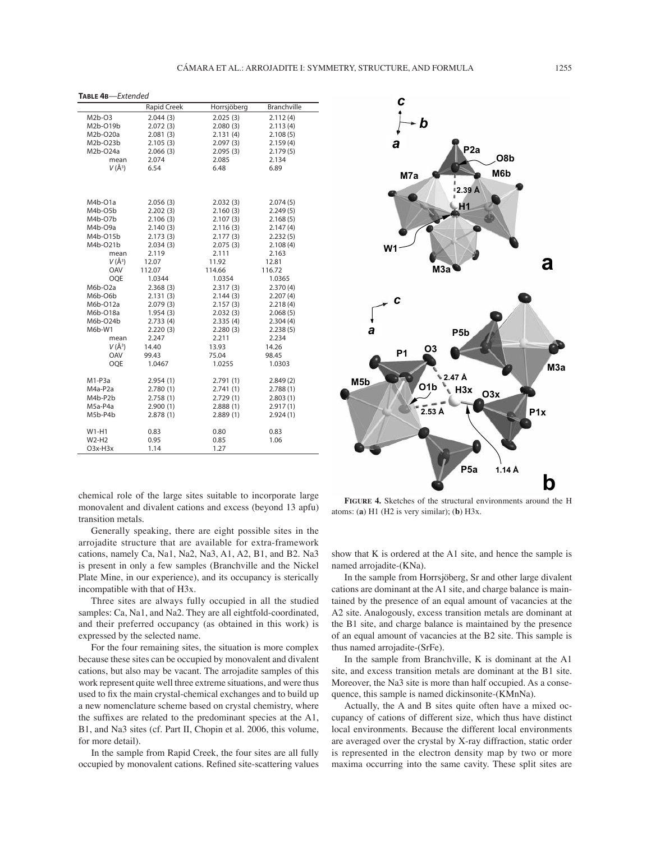**TABLE 4B**—Extended

|            | Rapid Creek | Horrsjöberg | <b>Branchville</b> |
|------------|-------------|-------------|--------------------|
| $M2b-O3$   | 2.044(3)    | 2.025(3)    | 2.112(4)           |
| M2b-O19b   | 2.072(3)    | 2.080(3)    | 2.113(4)           |
| M2b-O20a   | 2.081(3)    | 2.131(4)    | 2.108(5)           |
| M2b-O23b   | 2.105(3)    | 2.097(3)    | 2.159(4)           |
| M2b-O24a   | 2.066(3)    | 2.095(3)    | 2.179(5)           |
| mean       | 2.074       | 2.085       | 2.134              |
| $V(\AA^3)$ | 6.54        | 6.48        | 6.89               |
|            |             |             |                    |
|            |             |             |                    |
|            |             |             |                    |
| M4b-O1a    | 2.056(3)    | 2.032(3)    | 2.074(5)           |
| M4b-O5b    | 2.202(3)    | 2.160(3)    | 2.249(5)           |
| M4b-O7b    | 2.106(3)    | 2.107(3)    | 2.168(5)           |
| M4b-O9a    | 2.140(3)    | 2.116(3)    | 2.147(4)           |
| M4b-015b   | 2.173(3)    | 2.177(3)    | 2.232(5)           |
| M4b-021b   | 2.034(3)    | 2.075(3)    | 2.108(4)           |
| mean       | 2.119       | 2.111       | 2.163              |
| $V(\AA^3)$ | 12.07       | 11.92       | 12.81              |
| OAV        | 112.07      | 114.66      | 116.72             |
| <b>OQE</b> | 1.0344      | 1.0354      | 1.0365             |
| M6b-O2a    | 2.368(3)    | 2.317(3)    | 2.370(4)           |
| M6b-O6b    | 2.131(3)    | 2.144(3)    | 2.207(4)           |
| M6b-O12a   | 2.079(3)    | 2.157(3)    | 2.218(4)           |
| M6b-O18a   | 1.954(3)    | 2.032(3)    | 2.068(5)           |
| M6b-O24b   | 2.733(4)    | 2.335(4)    | 2.304(4)           |
| $M6b-W1$   | 2.220(3)    | 2.280(3)    | 2.238(5)           |
| mean       | 2.247       | 2.211       | 2.234              |
| $V(\AA^3)$ | 14.40       | 13.93       | 14.26              |
| OAV        | 99.43       | 75.04       | 98.45              |
| <b>OOE</b> | 1.0467      | 1.0255      | 1.0303             |
|            |             |             |                    |
| $M1-P3a$   | 2.954(1)    | 2.791(1)    | 2.849(2)           |
| M4a-P2a    | 2.780(1)    | 2.741(1)    | 2.788(1)           |
| M4b-P2b    | 2.758(1)    | 2.729(1)    | 2.803(1)           |
| M5a-P4a    | 2.900(1)    | 2.888(1)    | 2.917(1)           |
| M5b-P4b    | 2.878(1)    | 2.889(1)    | 2.924(1)           |
| $W1-H1$    | 0.83        | 0.80        | 0.83               |
| $W2-H2$    | 0.95        | 0.85        | 1.06               |
| $O3x-H3x$  | 1.14        | 1.27        |                    |
|            |             |             |                    |

chemical role of the large sites suitable to incorporate large monovalent and divalent cations and excess (beyond 13 apfu) transition metals.

Generally speaking, there are eight possible sites in the arrojadite structure that are available for extra-framework cations, namely Ca, Na1, Na2, Na3, A1, A2, B1, and B2. Na3 is present in only a few samples (Branchville and the Nickel Plate Mine, in our experience), and its occupancy is sterically incompatible with that of H3x.

Three sites are always fully occupied in all the studied samples: Ca, Na1, and Na2. They are all eightfold-coordinated, and their preferred occupancy (as obtained in this work) is expressed by the selected name.

For the four remaining sites, the situation is more complex because these sites can be occupied by monovalent and divalent cations, but also may be vacant. The arrojadite samples of this work represent quite well three extreme situations, and were thus used to fix the main crystal-chemical exchanges and to build up a new nomenclature scheme based on crystal chemistry, where the suffixes are related to the predominant species at the A1, B1, and Na3 sites (cf. Part II, Chopin et al. 2006, this volume, for more detail).

In the sample from Rapid Creek, the four sites are all fully occupied by monovalent cations. Refined site-scattering values



**FIGURE 4.** Sketches of the structural environments around the H atoms: (**a**) H1 (H2 is very similar); (**b**) H3x.

show that K is ordered at the A1 site, and hence the sample is named arrojadite-(KNa).

In the sample from Horrsjöberg, Sr and other large divalent cations are dominant at the A1 site, and charge balance is maintained by the presence of an equal amount of vacancies at the A2 site. Analogously, excess transition metals are dominant at the B1 site, and charge balance is maintained by the presence of an equal amount of vacancies at the B2 site. This sample is thus named arrojadite-(SrFe).

In the sample from Branchville, K is dominant at the A1 site, and excess transition metals are dominant at the B1 site. Moreover, the Na3 site is more than half occupied. As a consequence, this sample is named dickinsonite-(KMnNa).

Actually, the A and B sites quite often have a mixed occupancy of cations of different size, which thus have distinct local environments. Because the different local environments are averaged over the crystal by X-ray diffraction, static order is represented in the electron density map by two or more maxima occurring into the same cavity. These split sites are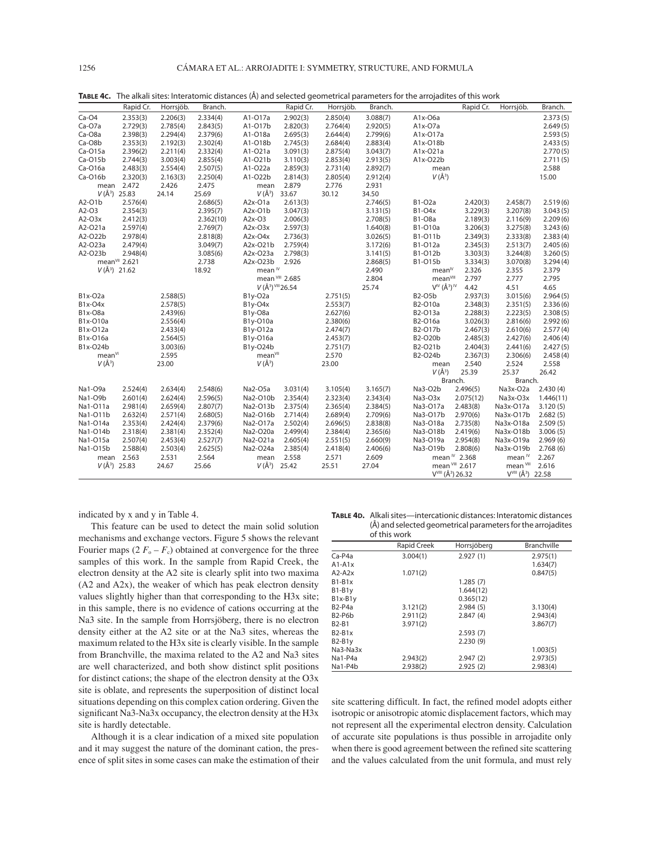|                    | Rapid Cr.                 | Horrsjöb. | Branch.   |                       | Rapid Cr.       | Horrsjöb. | Branch.  |                                           | Rapid Cr.               | Horrsjöb.                                 | Branch.   |
|--------------------|---------------------------|-----------|-----------|-----------------------|-----------------|-----------|----------|-------------------------------------------|-------------------------|-------------------------------------------|-----------|
| $Ca-O4$            | 2.353(3)                  | 2.206(3)  | 2.334(4)  | A1-017a               | 2.902(3)        | 2.850(4)  | 3.088(7) | $A1x-O6a$                                 |                         |                                           | 2.373(5)  |
| $Ca-O7a$           | 2.729(3)                  | 2.785(4)  | 2.843(5)  | A1-017b               | 2.820(3)        | 2.764(4)  | 2.920(5) | $A1x-O7a$                                 |                         |                                           | 2.649(5)  |
| Ca-O8a             | 2.398(3)                  | 2.294(4)  | 2.379(6)  | A1-O18a               | 2.695(3)        | 2.644(4)  | 2.799(6) | A1x-017a                                  |                         |                                           | 2.593(5)  |
| Ca-O8b             | 2.353(3)                  | 2.192(3)  | 2.302(4)  | A1-018b               | 2.745(3)        | 2.684(4)  | 2.883(4) | A1x-O18b                                  |                         |                                           | 2.433(5)  |
| $Ca-O15a$          | 2.396(2)                  | 2.211(4)  | 2.332(4)  | A1-O21a               | 3.091(3)        | 2.875(4)  | 3.043(7) | A1x-O21a                                  |                         |                                           | 2.770(5)  |
| $Ca-O15b$          | 2.744(3)                  | 3.003(4)  | 2.855(4)  | A1-O21b               | 3.110(3)        | 2.853(4)  | 2.913(5) | A1x-O22b                                  |                         |                                           | 2.711(5)  |
| Ca-O16a            | 2.483(3)                  | 2.554(4)  | 2.507(5)  | A1-O22a               | 2.859(3)        | 2.731(4)  | 2.892(7) | mean                                      |                         |                                           | 2.588     |
| $Ca-O16b$          | 2.320(3)                  | 2.163(3)  | 2.250(4)  | A1-O22b               | 2.814(3)        | 2.805(4)  | 2.912(4) | $V(\AA^3)$                                |                         |                                           | 15.00     |
| mean               | 2.472                     | 2.426     | 2.475     | mean                  | 2.879           | 2.776     | 2.931    |                                           |                         |                                           |           |
|                    | $V(\AA^3)$ 25.83          | 24.14     | 25.69     | $V(\AA^3)$            | 33.67           | 30.12     | 34.50    |                                           |                         |                                           |           |
| A2-O1b             | 2.576(4)                  |           | 2.686(5)  | A2x-O1a               | 2.613(3)        |           | 2.746(5) | <b>B1-O2a</b>                             | 2.420(3)                | 2.458(7)                                  | 2.519(6)  |
| A2-O3              | 2.354(3)                  |           | 2.395(7)  | A2x-O1b               | 3.047(3)        |           | 3.131(5) | B1-O4x                                    | 3.229(3)                | 3.207(8)                                  | 3.043(5)  |
| $A2-O3x$           | 2.412(3)                  |           | 2.362(10) | A2x-O3                | 2.006(3)        |           | 2.708(5) | <b>B1-O8a</b>                             | 2.189(3)                | 2.116(9)                                  | 2.209(6)  |
| A2-O21a            | 2.597(4)                  |           | 2.769(7)  | $A2x-O3x$             | 2.597(3)        |           | 1.640(8) | B1-O10a                                   | 3.206(3)                | 3.275(8)                                  | 3.243(6)  |
| A2-O22b            | 2.978(4)                  |           | 2.818(8)  | $A2x-O4x$             | 2.736(3)        |           | 3.026(5) | B1-011b                                   | 2.349(3)                | 2.333(8)                                  | 2.383(4)  |
| A2-O23a            | 2.479(4)                  |           | 3.049(7)  | A2x-O21b              | 2.759(4)        |           | 3.172(6) | B1-O12a                                   | 2.345(3)                | 2.513(7)                                  | 2.405(6)  |
| A2-O23b            | 2.948(4)                  |           | 3.085(6)  | A2x-O23a              | 2.798(3)        |           | 3.141(5) | B1-012b                                   | 3.303(3)                | 3.244(8)                                  | 3.260(5)  |
|                    | mean <sup>VII</sup> 2.621 |           | 2.738     | A2x-O23b              | 2.926           |           | 2.868(5) | B1-015b                                   | 3.334(3)                | 3.070(8)                                  | 3.294(4)  |
|                    | $V(\AA^3)$ 21.62          |           | 18.92     | mean <sup>™</sup>     |                 |           | 2.490    | mean <sup>IV</sup>                        | 2.326                   | 2.355                                     | 2.379     |
|                    |                           |           |           |                       | mean VIII 2.685 |           | 2.804    | mean <sup>VIII</sup>                      | 2.797                   | 2.777                                     | 2.795     |
|                    |                           |           |           | $V(\AA^3)$ VIII 26.54 |                 |           | 25.74    | $V^{\text{IV}}(\AA^3)^{\text{IV}}$        | 4.42                    | 4.51                                      | 4.65      |
| B1x-O2a            |                           | 2.588(5)  |           | B1y-O2a               |                 | 2.751(5)  |          | <b>B2-O5b</b>                             | 2.937(3)                | 3.015(6)                                  | 2.964(5)  |
| B1x-O4x            |                           | 2.578(5)  |           | B1y-O4x               |                 | 2.553(7)  |          | B2-O10a                                   | 2.348(3)                | 2.351(5)                                  | 2.336(6)  |
| B1x-O8a            |                           | 2.439(6)  |           | B1y-O8a               |                 | 2.627(6)  |          | B2-O13a                                   | 2.288(3)                | 2.223(5)                                  | 2.308(5)  |
| B1x-O10a           |                           | 2.556(4)  |           | B1y-O10a              |                 | 2.380(6)  |          | B2-O16a                                   | 3.026(3)                | 2.816(6)                                  | 2.992(6)  |
| B1x-O12a           |                           | 2.433(4)  |           | B1y-O12a              |                 | 2.474(7)  |          | B2-017b                                   | 2.467(3)                | 2.610(6)                                  | 2.577(4)  |
| B1x-O16a           |                           | 2.564(5)  |           | B1y-O16a              |                 | 2.453(7)  |          | B2-O20b                                   | 2.485(3)                | 2.427(6)                                  | 2.406(4)  |
| B1x-O24b           |                           | 3.003(6)  |           | B1y-O24b              |                 | 2.751(7)  |          | B2-O21b                                   | 2.404(3)                | 2.441(6)                                  | 2.427(5)  |
| mean <sup>VI</sup> |                           | 2.595     |           | mean <sup>VII</sup>   |                 | 2.570     |          | B2-O24b                                   | 2.367(3)                | 2.306(6)                                  | 2.458(4)  |
| $V(\AA^3)$         |                           | 23.00     |           | $V(\AA^3)$            |                 | 23.00     |          | mean                                      | 2.540                   | 2.524                                     | 2.558     |
|                    |                           |           |           |                       |                 |           |          | $V(\AA^3)$                                | 25.39                   | 25.37                                     | 26.42     |
|                    |                           |           |           |                       |                 |           |          | Branch.                                   |                         | Branch.                                   |           |
| Na1-O9a            | 2.524(4)                  | 2.634(4)  | 2.548(6)  | Na2-O5a               | 3.031(4)        | 3.105(4)  | 3.165(7) | Na3-O2b                                   | 2.496(5)                | Na3x-O2a                                  | 2.430(4)  |
| Na1-O9b            | 2.601(4)                  | 2.624(4)  | 2.596(5)  | Na2-O10b              | 2.354(4)        | 2.323(4)  | 2.343(4) | Na3-O3x                                   | 2.075(12)               | Na3x-O3x                                  | 1.446(11) |
| Na1-O11a           | 2.981(4)                  | 2.659(4)  | 2.807(7)  | Na2-O13b              | 2.375(4)        | 2.365(4)  | 2.384(5) | Na3-O17a                                  | 2.483(8)                | Na3x-O17a                                 | 3.120(5)  |
| Na1-011b           | 2.632(4)                  | 2.571(4)  | 2.680(5)  | Na2-O16b              | 2.714(4)        | 2.689(4)  | 2.709(6) | Na3-017b                                  | 2.970(6)                | Na3x-O17b                                 | 2.682(5)  |
| Na1-014a           | 2.353(4)                  | 2.424(4)  | 2.379(6)  | Na2-O17a              | 2.502(4)        | 2.696(5)  | 2.838(8) | Na3-O18a                                  | 2.735(8)                | Na3x-O18a                                 | 2.509(5)  |
| Na1-O14b           | 2.318(4)                  | 2.381(4)  | 2.352(4)  | Na2-O20a              | 2.499(4)        | 2.384(4)  | 2.365(6) | Na3-O18b                                  | 2.419(6)                | Na3x-O18b                                 | 3.006(5)  |
| Na1-015a           | 2.507(4)                  | 2.453(4)  | 2.527(7)  | Na2-O21a              | 2.605(4)        | 2.551(5)  | 2.660(9) | Na3-O19a                                  | 2.954(8)                | Na3x-O19a                                 | 2.969(6)  |
| Na1-O15b           | 2.588(4)                  | 2.503(4)  | 2.625(5)  | Na2-O24a              | 2.385(4)        | 2.418(4)  | 2.406(6) | Na3-O19b                                  | 2.808(6)                | Na3x-O19b                                 | 2.768(6)  |
| mean               | 2.563                     | 2.531     | 2.564     | mean                  | 2.558           | 2.571     | 2.609    |                                           | mean <sup>N</sup> 2.368 | mean <sup>1V</sup>                        | 2.267     |
|                    | $V(\AA^3)$ 25.83          | 24.67     | 25.66     | $V(\AA^3)$            | 25.42           | 25.51     | 27.04    |                                           | mean VIII 2.617         | mean VIII                                 | 2.616     |
|                    |                           |           |           |                       |                 |           |          | V <sup>VIII</sup> (Å <sup>3</sup> ) 26.32 |                         | V <sup>VIII</sup> (Å <sup>3</sup> ) 22.58 |           |

**TABLE 4C.** The alkali sites: Interatomic distances (Å) and selected geometrical parameters for the arrojadites of this work

indicated by x and y in Table 4.

This feature can be used to detect the main solid solution mechanisms and exchange vectors. Figure 5 shows the relevant Fourier maps  $(2 F_o - F_c)$  obtained at convergence for the three samples of this work. In the sample from Rapid Creek, the electron density at the A2 site is clearly split into two maxima (A2 and A2x), the weaker of which has peak electron density values slightly higher than that corresponding to the H3x site; in this sample, there is no evidence of cations occurring at the Na3 site. In the sample from Horrsjöberg, there is no electron density either at the A2 site or at the Na3 sites, whereas the maximum related to the H3x site is clearly visible. In the sample from Branchville, the maxima related to the A2 and Na3 sites are well characterized, and both show distinct split positions for distinct cations; the shape of the electron density at the O3x site is oblate, and represents the superposition of distinct local situations depending on this complex cation ordering. Given the significant Na3-Na3x occupancy, the electron density at the H3x site is hardly detectable.

Although it is a clear indication of a mixed site population and it may suggest the nature of the dominant cation, the presence of split sites in some cases can make the estimation of their

**TABLE 4D.** Alkali sites—intercationic distances: Interatomic distances (Å) and selected geometrical parameters for the arrojadites of this work

|              | <u>ULLILI VYULIN</u> |             |                    |
|--------------|----------------------|-------------|--------------------|
|              | <b>Rapid Creek</b>   | Horrsjöberg | <b>Branchville</b> |
| $Ca-P4a$     | 3.004(1)             | 2.927(1)    | 2.975(1)           |
| $A1-A1x$     |                      |             | 1.634(7)           |
| $A2-A2x$     | 1.071(2)             |             | 0.847(5)           |
| $B1-B1x$     |                      | 1.285(7)    |                    |
| $B1-B1y$     |                      | 1.644(12)   |                    |
| $B1x-B1y$    |                      | 0.365(12)   |                    |
| $B2-P4a$     | 3.121(2)             | 2.984(5)    | 3.130(4)           |
| $B2-P6b$     | 2.911(2)             | 2.847(4)    | 2.943(4)           |
| <b>B2-B1</b> | 3.971(2)             |             | 3.867(7)           |
| $B2-B1x$     |                      | 2.593(7)    |                    |
| $B2-B1y$     |                      | 2.230(9)    |                    |
| Na3-Na3x     |                      |             | 1.003(5)           |
| Na1-P4a      | 2.943(2)             | 2.947(2)    | 2.973(5)           |
| Na1-P4b      | 2.938(2)             | 2.925(2)    | 2.983(4)           |

site scattering difficult. In fact, the refined model adopts either isotropic or anisotropic atomic displacement factors, which may not represent all the experimental electron density. Calculation of accurate site populations is thus possible in arrojadite only when there is good agreement between the refined site scattering and the values calculated from the unit formula, and must rely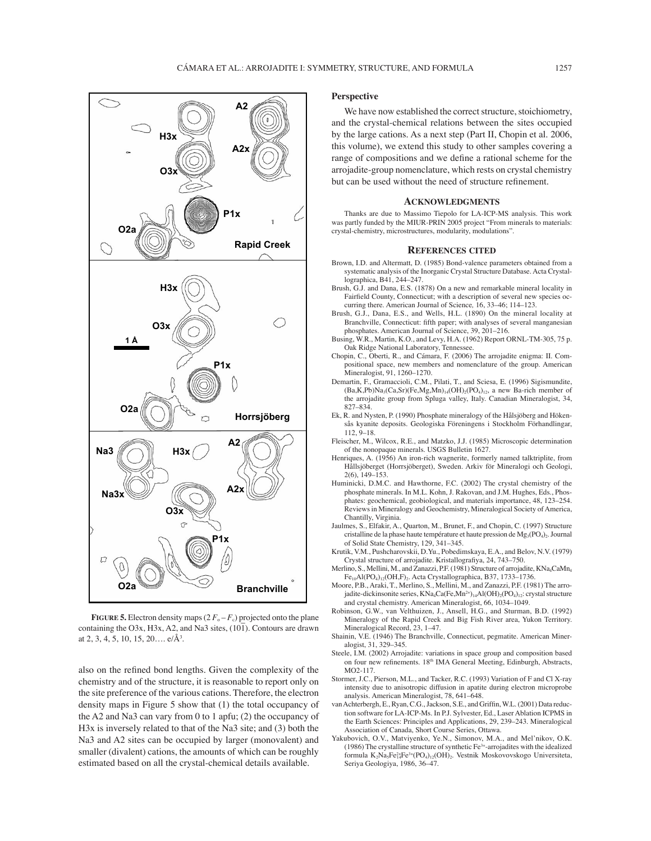

**FIGURE 5.** Electron density maps  $(2 F_0 - F_c)$  projected onto the plane containing the O3x, H3x, A2, and Na3 sites,  $(10\bar{1})$ . Contours are drawn at 2, 3, 4, 5, 10, 15, 20....  $e/\text{\AA}^3$ .

also on the refined bond lengths. Given the complexity of the chemistry and of the structure, it is reasonable to report only on the site preference of the various cations. Therefore, the electron density maps in Figure 5 show that (1) the total occupancy of the A2 and Na3 can vary from 0 to 1 apfu; (2) the occupancy of H3x is inversely related to that of the Na3 site; and (3) both the Na3 and A2 sites can be occupied by larger (monovalent) and smaller (divalent) cations, the amounts of which can be roughly estimated based on all the crystal-chemical details available.

## **Perspective**

We have now established the correct structure, stoichiometry, and the crystal-chemical relations between the sites occupied by the large cations. As a next step (Part II, Chopin et al. 2006, this volume), we extend this study to other samples covering a range of compositions and we define a rational scheme for the arrojadite-group nomenclature, which rests on crystal chemistry but can be used without the need of structure refinement.

### **ACKNOWLEDGMENTS**

Thanks are due to Massimo Tiepolo for LA-ICP-MS analysis. This work was partly funded by the MIUR-PRIN 2005 project "From minerals to materials: crystal-chemistry, microstructures, modularity, modulations".

## **REFERENCES CITED**

- Brown, I.D. and Altermatt, D. (1985) Bond-valence parameters obtained from a systematic analysis of the Inorganic Crystal Structure Database. Acta Crystallographica, B41, 244-247.
- Brush, G.J. and Dana, E.S. (1878) On a new and remarkable mineral locality in Fairfield County, Connecticut; with a description of several new species occurring there. American Journal of Science, 16, 33-46; 114-123.
- Brush, G.J., Dana, E.S., and Wells, H.L. (1890) On the mineral locality at Branchville, Connecticut: fifth paper; with analyses of several manganesian phosphates. American Journal of Science, 39, 201-216.
- Busing, W.R., Martin, K.O., and Levy, H.A. (1962) Report ORNL-TM-305, 75 p. Oak Ridge National Laboratory, Tennessee.
- Chopin, C., Oberti, R., and Cámara, F. (2006) The arrojadite enigma: II. Compositional space, new members and nomenclature of the group. American Mineralogist, 91, 1260-1270.
- Demartin, F., Gramaccioli, C.M., Pilati, T., and Sciesa, E. (1996) Sigismundite,  $(Ba,K,Pb)Na<sub>3</sub>(Ca,Sr)(Fe,Mg,Mn)<sub>14</sub>(OH)<sub>2</sub>(PO<sub>4</sub>)<sub>12</sub>$ , a new Ba-rich member of the arrojadite group from Spluga valley, Italy. Canadian Mineralogist, 34,  $827 - 834$
- Ek, R. and Nysten, P. (1990) Phosphate mineralogy of the Hålsjöberg and Hökensås kyanite deposits. Geologiska Föreningens i Stockholm Förhandlingar,  $112.9 - 18.$
- Fleischer, M., Wilcox, R.E., and Matzko, J.J. (1985) Microscopic determination of the nonopaque minerals. USGS Bulletin 1627.
- Henriques, A. (1956) An iron-rich wagnerite, formerly named talktriplite, from Hållsjöberget (Horrsjöberget), Sweden. Arkiv för Mineralogi och Geologi,  $2(6)$ , 149-153.
- Huminicki, D.M.C. and Hawthorne, F.C. (2002) The crystal chemistry of the phosphate minerals. In M.L. Kohn, J. Rakovan, and J.M. Hughes, Eds., Phosphates: geochemical, geobiological, and materials importance, 48, 123-254. Reviews in Mineralogy and Geochemistry, Mineralogical Society of America, Chantilly, Virginia.
- Jaulmes, S., Elfakir, A., Quarton, M., Brunet, F., and Chopin, C. (1997) Structure cristalline de la phase haute température et haute pression de Mg<sub>3</sub>(PO<sub>4</sub>)<sub>2</sub>. Journal of Solid State Chemistry, 129, 341-345.
- Krutik, V.M., Pushcharovskii, D.Yu., Pobedimskaya, E.A., and Belov, N.V. (1979) Crystal structure of arrojadite. Kristallografiya, 24, 743-750.
- Merlino, S., Mellini, M., and Zanazzi, P.F. (1981) Structure of arrojadite, KNa<sub>4</sub>CaMn<sub>4</sub>  $Fe<sub>10</sub>Al(PO<sub>4</sub>)<sub>12</sub>(OH,F)<sub>2</sub>$ . Acta Crystallographica, B37, 1733-1736
- Moore, P.B., Araki, T., Merlino, S., Mellini, M., and Zanazzi, P.F. (1981) The arrojadite-dickinsonite series, KNa<sub>4</sub>Ca(Fe,Mn<sup>2+</sup>)<sub>14</sub>Al(OH)<sub>2</sub>(PO<sub>4</sub>)<sub>12</sub>: crystal structure and crystal chemistry. American Mineralogist, 66, 1034-1049.
- Robinson, G.W., van Velthuizen, J., Ansell, H.G., and Sturman, B.D. (1992) Mineralogy of the Rapid Creek and Big Fish River area, Yukon Territory. Mineralogical Record, 23, 1-47.
- Shainin, V.E. (1946) The Branchville, Connecticut, pegmatite. American Mineralogist, 31, 329-345.
- Steele, I.M. (2002) Arrojadite: variations in space group and composition based on four new refinements. 18<sup>th</sup> IMA General Meeting, Edinburgh, Abstracts, MO2-117.
- Stormer, J.C., Pierson, M.L., and Tacker, R.C. (1993) Variation of F and Cl X-ray intensity due to anisotropic diffusion in apatite during electron microprobe analysis. American Mineralogist, 78, 641-648.
- van Achterbergh, E., Ryan, C.G., Jackson, S.E., and Griffin, W.L. (2001) Data reduction software for LA-ICP-Ms. In P.J. Sylvester, Ed., Laser Ablation ICPMS in the Earth Sciences: Principles and Applications, 29, 239-243. Mineralogical Association of Canada, Short Course Series, Ottawa.
- Yakubovich, O.V., Matviyenko, Ye.N., Simonov, M.A., and Mel'nikov, O.K. (1986) The crystalline structure of synthetic Fe3+-arrojadites with the idealized formula  $K_2Na_5Fe^{2+}_{14}Fe^{3+}(PO_4)_{12}(OH)_2$ . Vestnik Moskovovskogo Universiteta, Seriya Geologiya, 1986, 36-47.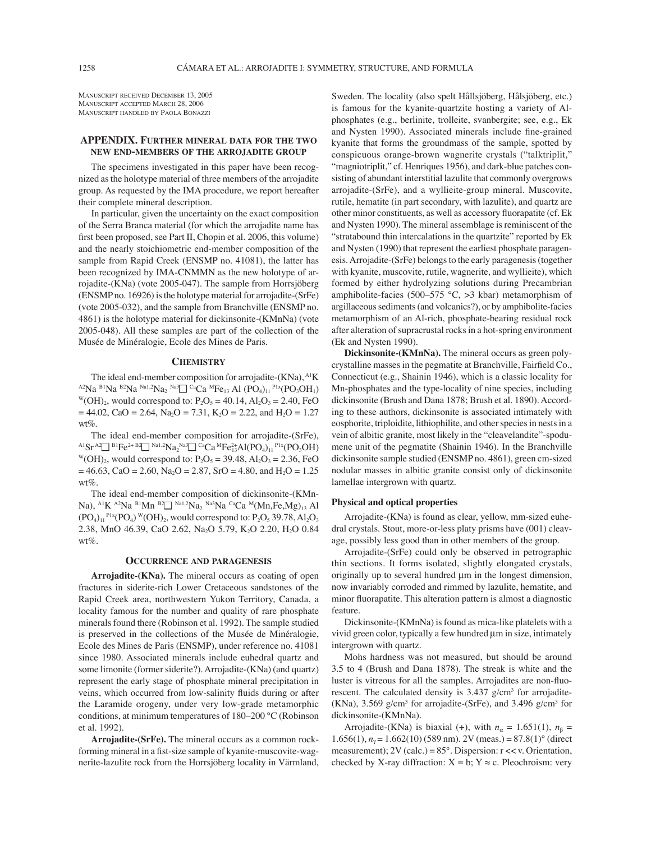MANUSCRIPT RECEIVED DECEMBER 13, 2005 MANUSCRIPT ACCEPTED MARCH 28, 2006 MANUSCRIPT HANDLED BY PAOLA BONAZZI

## **APPENDIX. FURTHER MINERAL DATA FOR THE TWO NEW END-MEMBERS OF THE ARROJADITE GROUP**

The specimens investigated in this paper have been recognized as the holotype material of three members of the arrojadite group. As requested by the IMA procedure, we report hereafter their complete mineral description.

In particular, given the uncertainty on the exact composition of the Serra Branca material (for which the arrojadite name has first been proposed, see Part II, Chopin et al. 2006, this volume) and the nearly stoichiometric end-member composition of the sample from Rapid Creek (ENSMP no. 41081), the latter has been recognized by IMA-CNMMN as the new holotype of arrojadite-(KNa) (vote 2005-047). The sample from Horrsjöberg (ENSMP no. 16926) is the holotype material for arrojadite-(SrFe) (vote 2005-032), and the sample from Branchville (ENSMP no. 4861) is the holotype material for dickinsonite-(KMnNa) (vote 2005-048). All these samples are part of the collection of the MusÈe de MinÈralogie, Ecole des Mines de Paris.

## **CHEMISTRY**

The ideal end-member composition for arrojadite-(KNa), <sup>A1</sup>K <sup>A2</sup>Na <sup>B1</sup>Na <sup>B2</sup>Na <sup>Na1,2</sup>Na<sub>2</sub> <sup>Na3</sup>□ <sup>Ca</sup>Ca <sup>M</sup>Fe<sub>13</sub> Al (PO<sub>4</sub>)<sub>11</sub> <sup>P1x</sup>(PO<sub>3</sub>OH<sub>1</sub>) W(OH)<sub>2</sub>, would correspond to: P<sub>2</sub>O<sub>5</sub> = 40.14, Al<sub>2</sub>O<sub>3</sub> = 2.40, Fe  $= 44.02$ , CaO = 2.64, Na<sub>2</sub>O = 7.31, K<sub>2</sub>O = 2.22, and H<sub>2</sub>O = 1.27  $wt\%$ 

The ideal end-member composition for arrojadite-(SrFe),  $^{A1}Sr^{A2} \rightarrow ^{B1}Fe^{2+}B2 \rightarrow ^{Na1,2}Na_{2}$ <sup>Na3</sup> $\rightarrow ^{Ca}Ca^{M}Fe^{2+}_{13}Al(PO_{4})_{11}^{PIx}(PO_{3}OH)$  $W(OH)_2$ , would correspond to:  $P_2O_5 = 39.48$ ,  $Al_2O_3 = 2.36$ , FeO  $= 46.63$ , CaO = 2.60, Na<sub>2</sub>O = 2.87, SrO = 4.80, and H<sub>2</sub>O = 1.25 wt%.

The ideal end-member composition of dickinsonite-(KMn-Na), <sup>A1</sup>K <sup>A2</sup>Na <sup>B1</sup>Mn <sup>B2</sup> $\Box$  <sup>Na1,2</sup>Na<sub>2</sub> <sup>Na3</sup>Na <sup>Ca</sup>Ca <sup>M</sup>(Mn, Fe, Mg)<sub>13</sub> Al  $(PO<sub>4</sub>)<sub>11</sub>$ <sup>P1x</sup> $(PO<sub>4</sub>)$ <sup>W</sup> $(OH)<sub>2</sub>$ , would correspond to:  $P<sub>2</sub>O<sub>5</sub>$  39.78, Al<sub>2</sub>O<sub>3</sub> 2.38, MnO 46.39, CaO 2.62, Na<sub>2</sub>O 5.79, K<sub>2</sub>O 2.20, H<sub>2</sub>O 0.84  $wt\%$ .

## **OCCURRENCE AND PARAGENESIS**

**Arrojadite-(KNa).** The mineral occurs as coating of open fractures in siderite-rich Lower Cretaceous sandstones of the Rapid Creek area, northwestern Yukon Territory, Canada, a locality famous for the number and quality of rare phosphate minerals found there (Robinson et al. 1992). The sample studied is preserved in the collections of the Musée de Minéralogie, Ecole des Mines de Paris (ENSMP), under reference no. 41081 since 1980. Associated minerals include euhedral quartz and some limonite (former siderite?). Arrojadite-(KNa) (and quartz) represent the early stage of phosphate mineral precipitation in veins, which occurred from low-salinity fluids during or after the Laramide orogeny, under very low-grade metamorphic conditions, at minimum temperatures of  $180-200$  °C (Robinson et al. 1992).

**Arrojadite-(SrFe).** The mineral occurs as a common rockforming mineral in a fist-size sample of kyanite-muscovite-wagnerite-lazulite rock from the Horrsjöberg locality in Värmland, Sweden. The locality (also spelt Hållsjöberg, Hålsjöberg, etc.) is famous for the kyanite-quartzite hosting a variety of Alphosphates (e.g., berlinite, trolleite, svanbergite; see, e.g., Ek and Nysten 1990). Associated minerals include fine-grained kyanite that forms the groundmass of the sample, spotted by conspicuous orange-brown wagnerite crystals ("talktriplit," "magniotriplit," cf. Henriques 1956), and dark-blue patches consisting of abundant interstitial lazulite that commonly overgrows arrojadite-(SrFe), and a wyllieite-group mineral. Muscovite, rutile, hematite (in part secondary, with lazulite), and quartz are other minor constituents, as well as accessory fluorapatite (cf. Ek and Nysten 1990). The mineral assemblage is reminiscent of the "stratabound thin intercalations in the quartzite" reported by Ek and Nysten (1990) that represent the earliest phosphate paragenesis. Arrojadite-(SrFe) belongs to the early paragenesis (together with kyanite, muscovite, rutile, wagnerite, and wyllieite), which formed by either hydrolyzing solutions during Precambrian amphibolite-facies (500–575 °C, >3 kbar) metamorphism of argillaceous sediments (and volcanics?), or by amphibolite-facies metamorphism of an Al-rich, phosphate-bearing residual rock after alteration of supracrustal rocks in a hot-spring environment (Ek and Nysten 1990).

**Dickinsonite-(KMnNa).** The mineral occurs as green polycrystalline masses in the pegmatite at Branchville, Fairfield Co., Connecticut (e.g., Shainin 1946), which is a classic locality for Mn-phosphates and the type-locality of nine species, including dickinsonite (Brush and Dana 1878; Brush et al. 1890). According to these authors, dickinsonite is associated intimately with eosphorite, triploidite, lithiophilite, and other species in nests in a vein of albitic granite, most likely in the "cleavelandite"-spodumene unit of the pegmatite (Shainin 1946). In the Branchville dickinsonite sample studied (ENSMP no. 4861), green cm-sized nodular masses in albitic granite consist only of dickinsonite lamellae intergrown with quartz.

## **Physical and optical properties**

Arrojadite-(KNa) is found as clear, yellow, mm-sized euhedral crystals. Stout, more-or-less platy prisms have (001) cleavage, possibly less good than in other members of the group.

Arrojadite-(SrFe) could only be observed in petrographic thin sections. It forms isolated, slightly elongated crystals, originally up to several hundred µm in the longest dimension, now invariably corroded and rimmed by lazulite, hematite, and minor fluorapatite. This alteration pattern is almost a diagnostic feature.

Dickinsonite-(KMnNa) is found as mica-like platelets with a vivid green color, typically a few hundred µm in size, intimately intergrown with quartz.

Mohs hardness was not measured, but should be around 3.5 to 4 (Brush and Dana 1878). The streak is white and the luster is vitreous for all the samples. Arrojadites are non-fluorescent. The calculated density is  $3.437$  g/cm<sup>3</sup> for arrojadite- $(KNa)$ , 3.569 g/cm<sup>3</sup> for arrojadite-(SrFe), and 3.496 g/cm<sup>3</sup> for dickinsonite-(KMnNa).

Arrojadite-(KNa) is biaxial (+), with  $n_{\alpha} = 1.651(1)$ ,  $n_{\beta} =$  $1.656(1)$ ,  $n_{\gamma} = 1.662(10)$  (589 nm). 2V (meas.) = 87.8(1)<sup>o</sup> (direct measurement);  $2V$  (calc.) =  $85^\circ$ . Dispersion:  $r \ll v$ . Orientation, checked by X-ray diffraction:  $X = b$ ;  $Y \approx c$ . Pleochroism: very